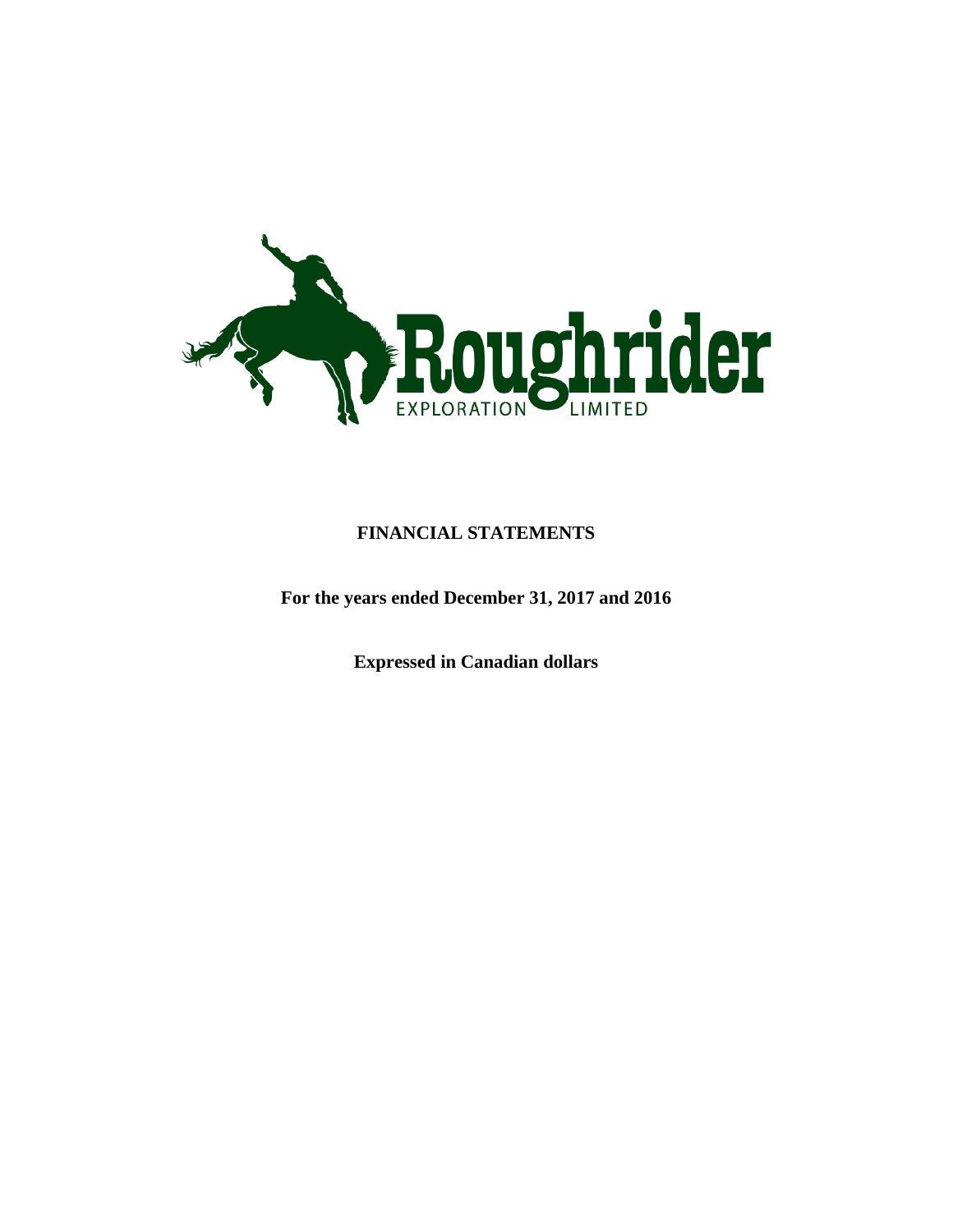

### **FINANCIAL STATEMENTS**

**For the years ended December 31, 2017 and 2016**

**Expressed in Canadian dollars**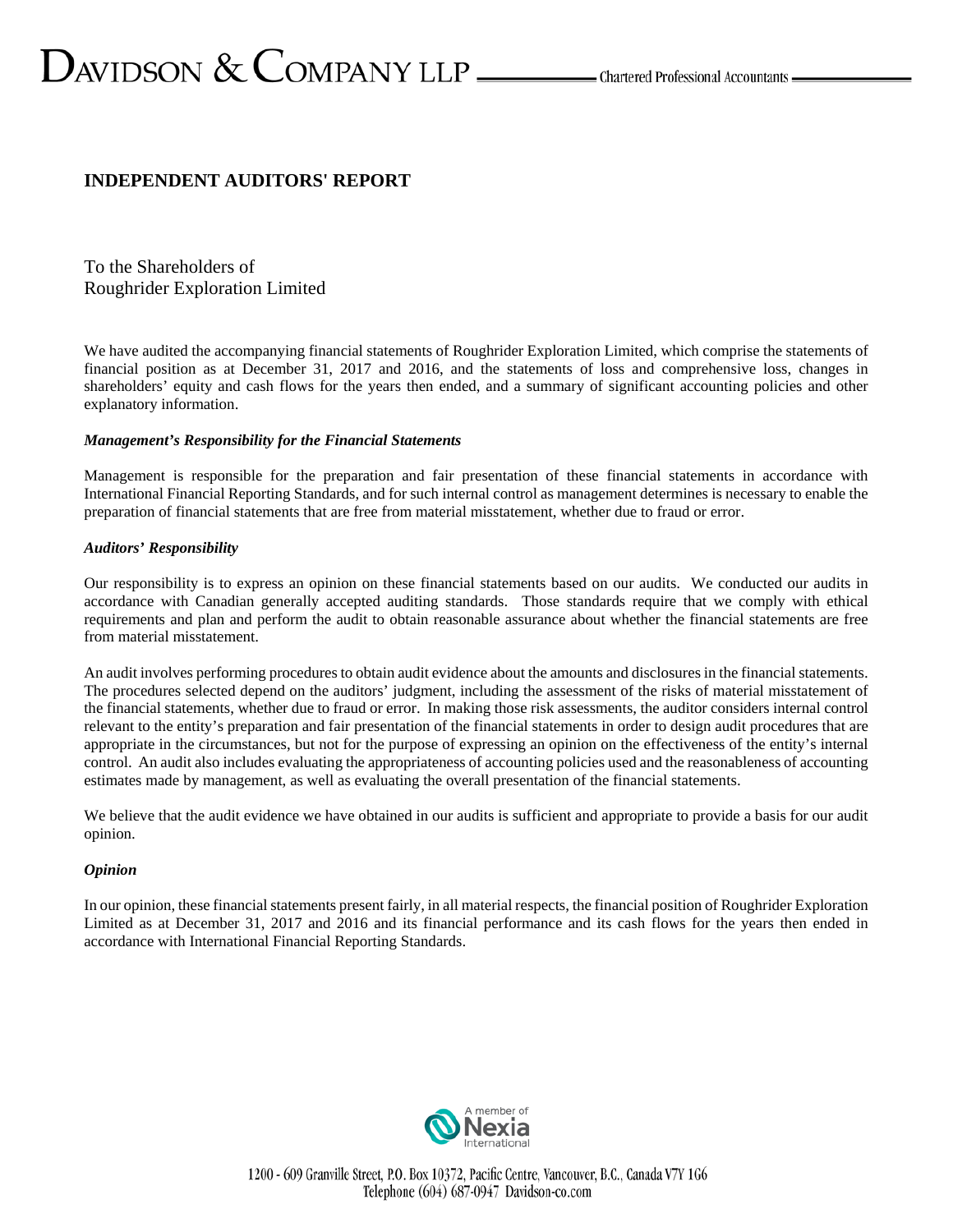# $D_{\text{AVIDSON}} \&$   $\text{COMPANY LLP}$   $\_\_\_\_\_\_\$ Chartered Professional Accountants  $\_\_\_\$

### **INDEPENDENT AUDITORS' REPORT**

To the Shareholders of Roughrider Exploration Limited

We have audited the accompanying financial statements of Roughrider Exploration Limited, which comprise the statements of financial position as at December 31, 2017 and 2016, and the statements of loss and comprehensive loss, changes in shareholders' equity and cash flows for the years then ended, and a summary of significant accounting policies and other explanatory information.

### *Management's Responsibility for the Financial Statements*

Management is responsible for the preparation and fair presentation of these financial statements in accordance with International Financial Reporting Standards, and for such internal control as management determines is necessary to enable the preparation of financial statements that are free from material misstatement, whether due to fraud or error.

### *Auditors' Responsibility*

Our responsibility is to express an opinion on these financial statements based on our audits. We conducted our audits in accordance with Canadian generally accepted auditing standards. Those standards require that we comply with ethical requirements and plan and perform the audit to obtain reasonable assurance about whether the financial statements are free from material misstatement.

An audit involves performing procedures to obtain audit evidence about the amounts and disclosures in the financial statements. The procedures selected depend on the auditors' judgment, including the assessment of the risks of material misstatement of the financial statements, whether due to fraud or error. In making those risk assessments, the auditor considers internal control relevant to the entity's preparation and fair presentation of the financial statements in order to design audit procedures that are appropriate in the circumstances, but not for the purpose of expressing an opinion on the effectiveness of the entity's internal control. An audit also includes evaluating the appropriateness of accounting policies used and the reasonableness of accounting estimates made by management, as well as evaluating the overall presentation of the financial statements.

We believe that the audit evidence we have obtained in our audits is sufficient and appropriate to provide a basis for our audit opinion.

### *Opinion*

In our opinion, these financial statements present fairly, in all material respects, the financial position of Roughrider Exploration Limited as at December 31, 2017 and 2016 and its financial performance and its cash flows for the years then ended in accordance with International Financial Reporting Standards.

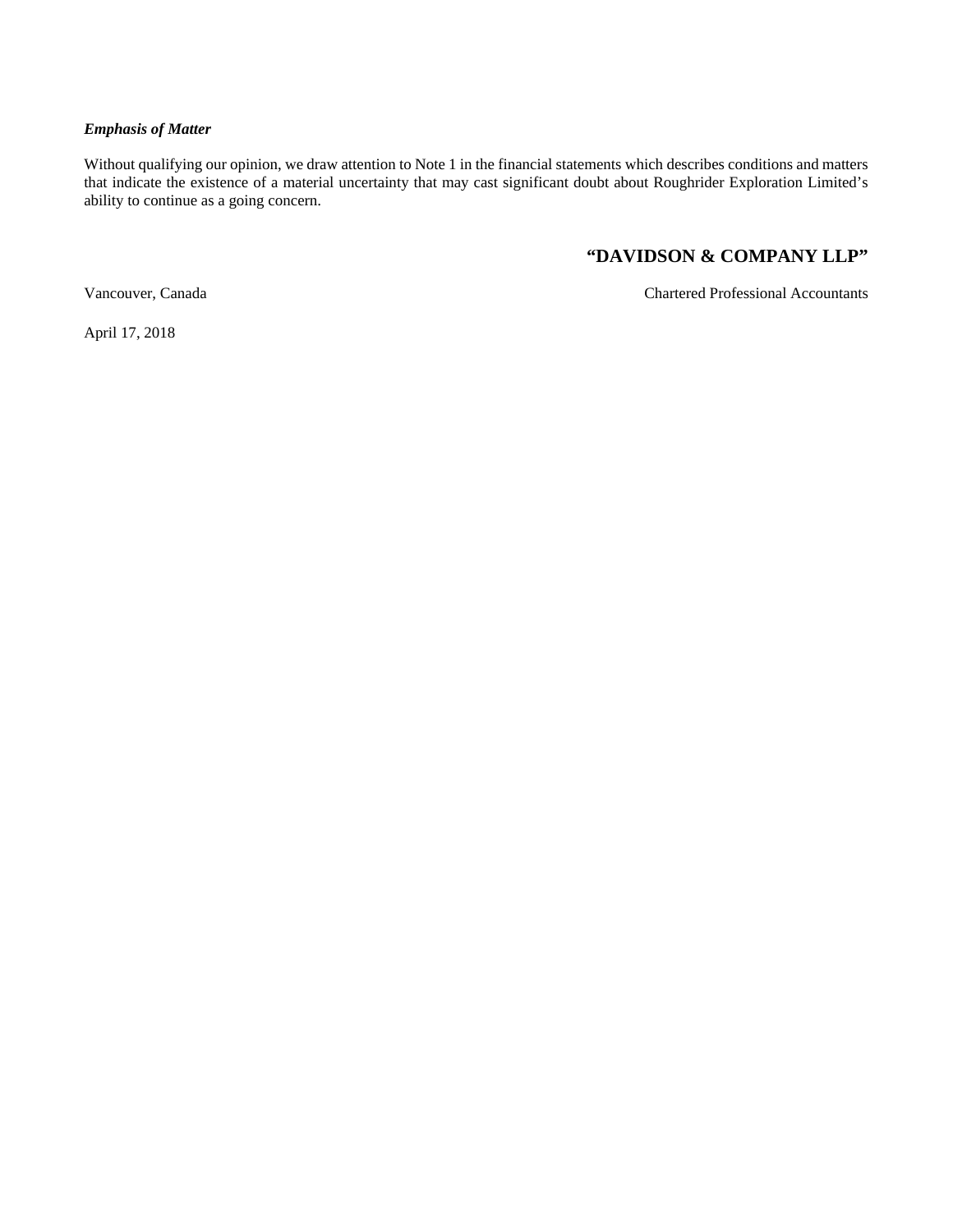### *Emphasis of Matter*

Without qualifying our opinion, we draw attention to Note 1 in the financial statements which describes conditions and matters that indicate the existence of a material uncertainty that may cast significant doubt about Roughrider Exploration Limited's ability to continue as a going concern.

### **"DAVIDSON & COMPANY LLP"**

Vancouver, Canada Chartered Professional Accountants

April 17, 2018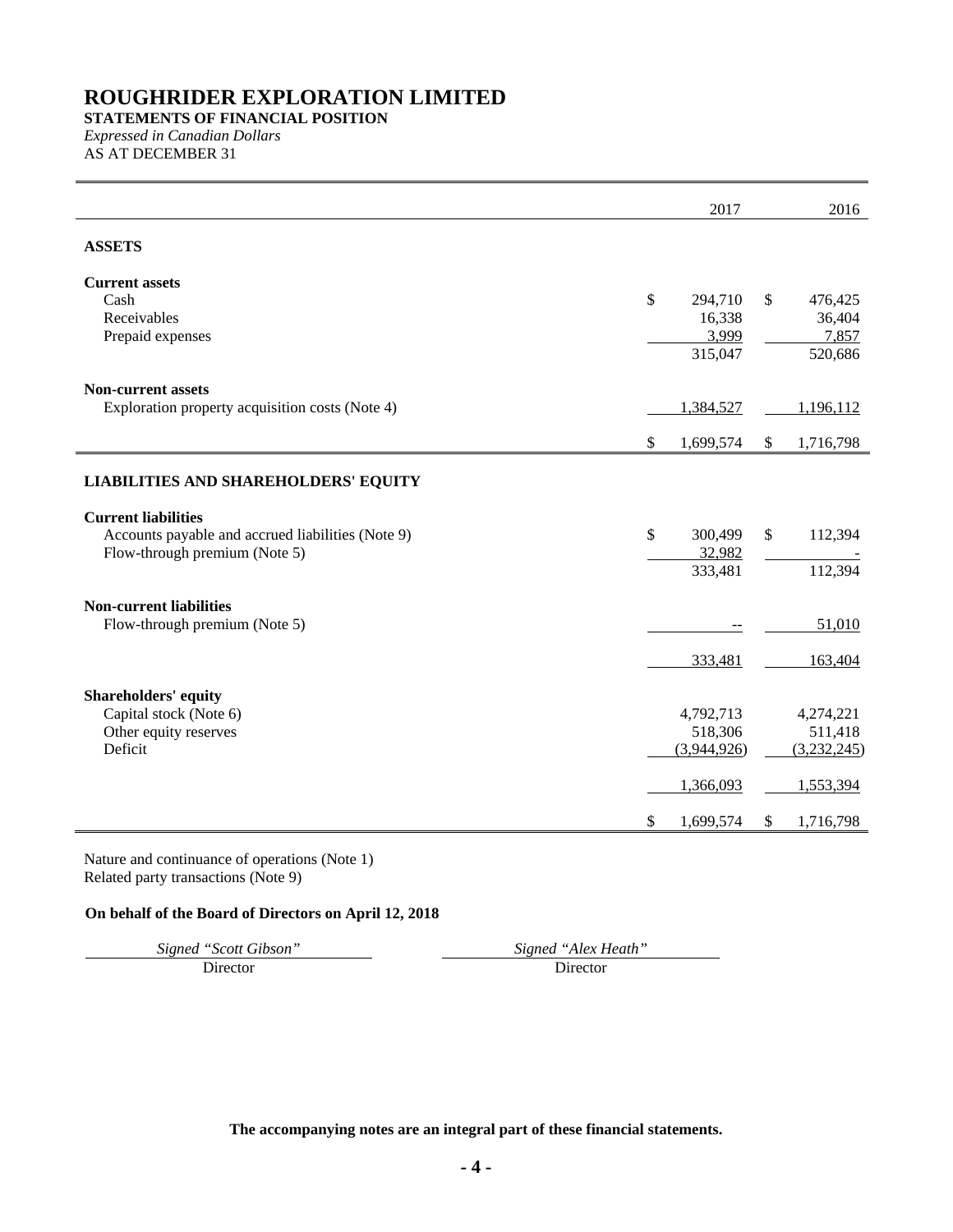### **STATEMENTS OF FINANCIAL POSITION** *Expressed in Canadian Dollars*

AS AT DECEMBER 31

|                                                   | 2017            |               | 2016        |
|---------------------------------------------------|-----------------|---------------|-------------|
| <b>ASSETS</b>                                     |                 |               |             |
| <b>Current assets</b>                             |                 |               |             |
| Cash                                              | \$<br>294,710   | $\mathbb{S}$  | 476,425     |
| Receivables                                       | 16,338          |               | 36,404      |
| Prepaid expenses                                  | 3,999           |               | 7,857       |
|                                                   | 315,047         |               | 520,686     |
| <b>Non-current assets</b>                         |                 |               |             |
| Exploration property acquisition costs (Note 4)   | 1,384,527       |               | 1,196,112   |
|                                                   |                 |               |             |
|                                                   | \$<br>1,699,574 | <sup>\$</sup> | 1,716,798   |
| <b>LIABILITIES AND SHAREHOLDERS' EQUITY</b>       |                 |               |             |
| <b>Current liabilities</b>                        |                 |               |             |
| Accounts payable and accrued liabilities (Note 9) | \$<br>300,499   | \$            | 112,394     |
| Flow-through premium (Note 5)                     | 32,982          |               |             |
|                                                   | 333,481         |               | 112,394     |
| <b>Non-current liabilities</b>                    |                 |               |             |
| Flow-through premium (Note 5)                     |                 |               | 51,010      |
|                                                   |                 |               |             |
|                                                   | 333,481         |               | 163,404     |
| <b>Shareholders' equity</b>                       |                 |               |             |
| Capital stock (Note 6)                            | 4,792,713       |               | 4,274,221   |
| Other equity reserves                             | 518,306         |               | 511,418     |
| Deficit                                           | (3,944,926)     |               | (3,232,245) |
|                                                   | 1,366,093       |               | 1,553,394   |
|                                                   |                 |               |             |
|                                                   | \$<br>1,699,574 | \$            | 1,716,798   |

Nature and continuance of operations (Note 1) Related party transactions (Note 9)

### **On behalf of the Board of Directors on April 12, 2018**

*Signed "Scott Gibson" Signed "Alex Heath"*

Director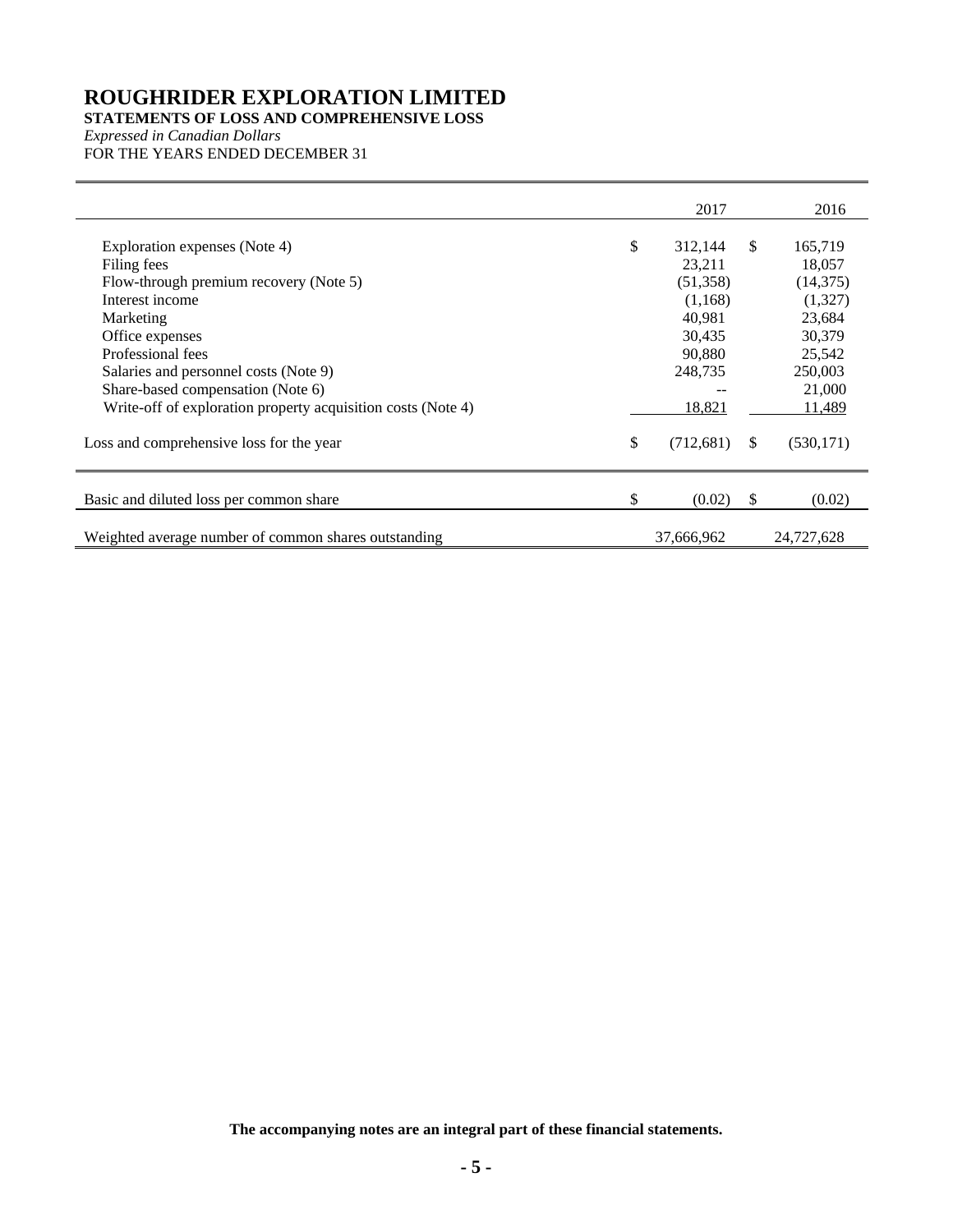### **STATEMENTS OF LOSS AND COMPREHENSIVE LOSS**

*Expressed in Canadian Dollars* FOR THE YEARS ENDED DECEMBER 31

|                                                                                                                                                                                                                                                                                                              | 2017                                                                                              |               | 2016                                                                                                   |
|--------------------------------------------------------------------------------------------------------------------------------------------------------------------------------------------------------------------------------------------------------------------------------------------------------------|---------------------------------------------------------------------------------------------------|---------------|--------------------------------------------------------------------------------------------------------|
| Exploration expenses (Note 4)<br>Filing fees<br>Flow-through premium recovery (Note 5)<br>Interest income<br>Marketing<br>Office expenses<br>Professional fees<br>Salaries and personnel costs (Note 9)<br>Share-based compensation (Note 6)<br>Write-off of exploration property acquisition costs (Note 4) | \$<br>312,144<br>23,211<br>(51,358)<br>(1,168)<br>40.981<br>30,435<br>90,880<br>248,735<br>18,821 | <sup>\$</sup> | 165,719<br>18,057<br>(14, 375)<br>(1,327)<br>23,684<br>30,379<br>25,542<br>250,003<br>21,000<br>11,489 |
| Loss and comprehensive loss for the year                                                                                                                                                                                                                                                                     | \$<br>(712,681)                                                                                   | <sup>\$</sup> | (530, 171)                                                                                             |
| Basic and diluted loss per common share                                                                                                                                                                                                                                                                      | \$<br>(0.02)                                                                                      | -S            | (0.02)                                                                                                 |
| Weighted average number of common shares outstanding                                                                                                                                                                                                                                                         | 37,666,962                                                                                        |               | 24,727,628                                                                                             |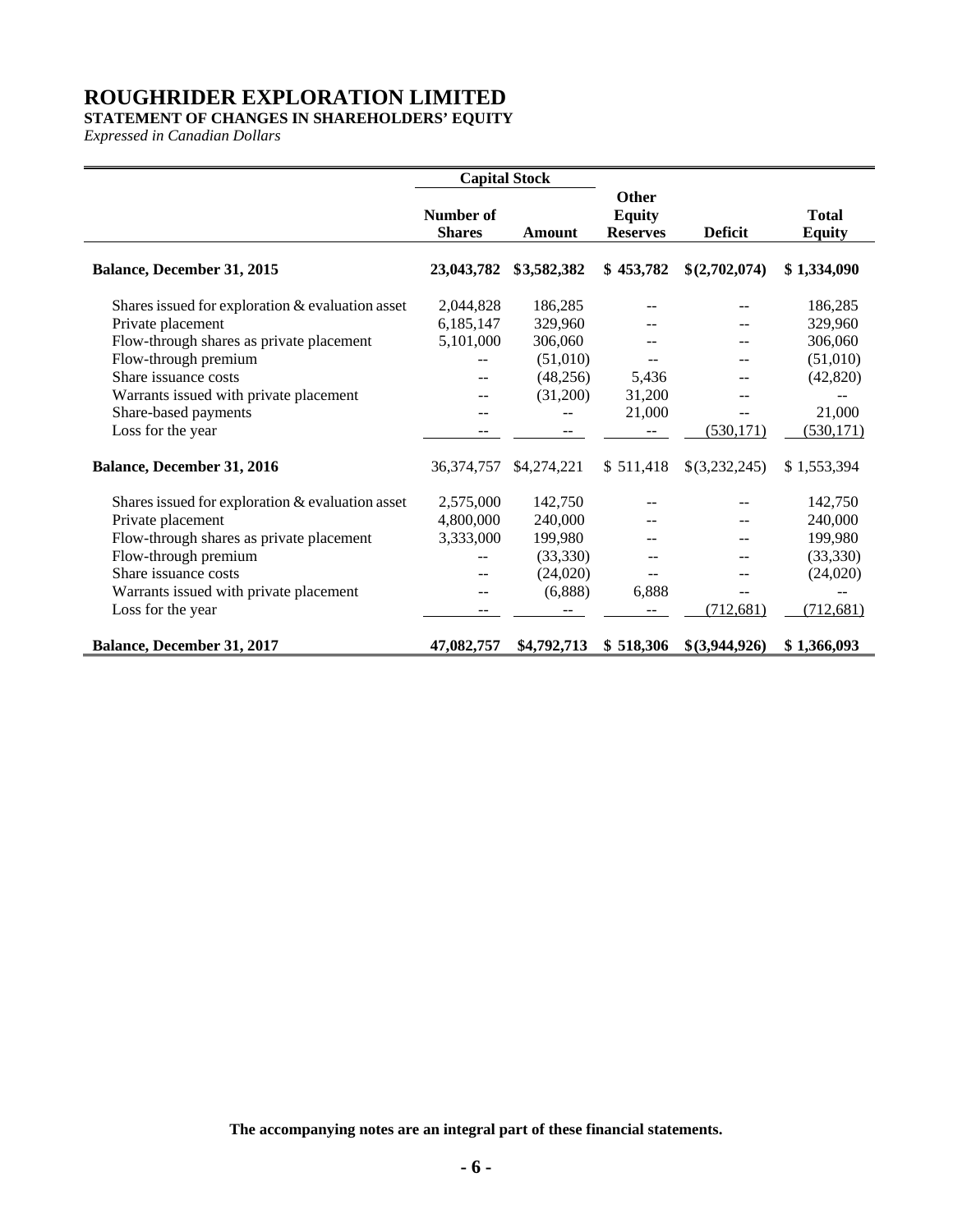### **STATEMENT OF CHANGES IN SHAREHOLDERS' EQUITY**

*Expressed in Canadian Dollars*

|                                                  | <b>Capital Stock</b>       |             |                                           |                |                               |
|--------------------------------------------------|----------------------------|-------------|-------------------------------------------|----------------|-------------------------------|
|                                                  | Number of<br><b>Shares</b> | Amount      | Other<br><b>Equity</b><br><b>Reserves</b> | <b>Deficit</b> | <b>Total</b><br><b>Equity</b> |
| <b>Balance, December 31, 2015</b>                | 23,043,782                 | \$3,582,382 | \$453,782                                 | \$(2,702,074)  | \$1,334,090                   |
| Shares issued for exploration & evaluation asset | 2,044,828                  | 186,285     |                                           | --             | 186,285                       |
| Private placement                                | 6,185,147                  | 329,960     |                                           |                | 329,960                       |
| Flow-through shares as private placement         | 5,101,000                  | 306,060     |                                           |                | 306,060                       |
| Flow-through premium                             |                            | (51,010)    |                                           |                | (51,010)                      |
| Share issuance costs                             | $-$                        | (48, 256)   | 5,436                                     | --             | (42, 820)                     |
| Warrants issued with private placement           |                            | (31,200)    | 31,200                                    |                |                               |
| Share-based payments                             |                            |             | 21,000                                    | $-$            | 21,000                        |
| Loss for the year                                |                            |             |                                           | (530, 171)     | (530, 171)                    |
| <b>Balance, December 31, 2016</b>                | 36,374,757                 | \$4,274,221 | \$511,418                                 | \$(3,232,245)  | \$1,553,394                   |
| Shares issued for exploration & evaluation asset | 2,575,000                  | 142,750     |                                           |                | 142,750                       |
| Private placement                                | 4,800,000                  | 240,000     |                                           | --             | 240,000                       |
| Flow-through shares as private placement         | 3,333,000                  | 199,980     |                                           |                | 199,980                       |
| Flow-through premium                             |                            | (33,330)    |                                           | --             | (33,330)                      |
| Share issuance costs                             | $\overline{\phantom{a}}$   | (24,020)    | $-$                                       | --             | (24,020)                      |
| Warrants issued with private placement           | --                         | (6,888)     | 6,888                                     | $-$            |                               |
| Loss for the year                                |                            |             |                                           | (712, 681)     | (712, 681)                    |
| <b>Balance, December 31, 2017</b>                | 47,082,757                 | \$4,792,713 | \$518,306                                 | \$(3,944,926)  | \$1,366,093                   |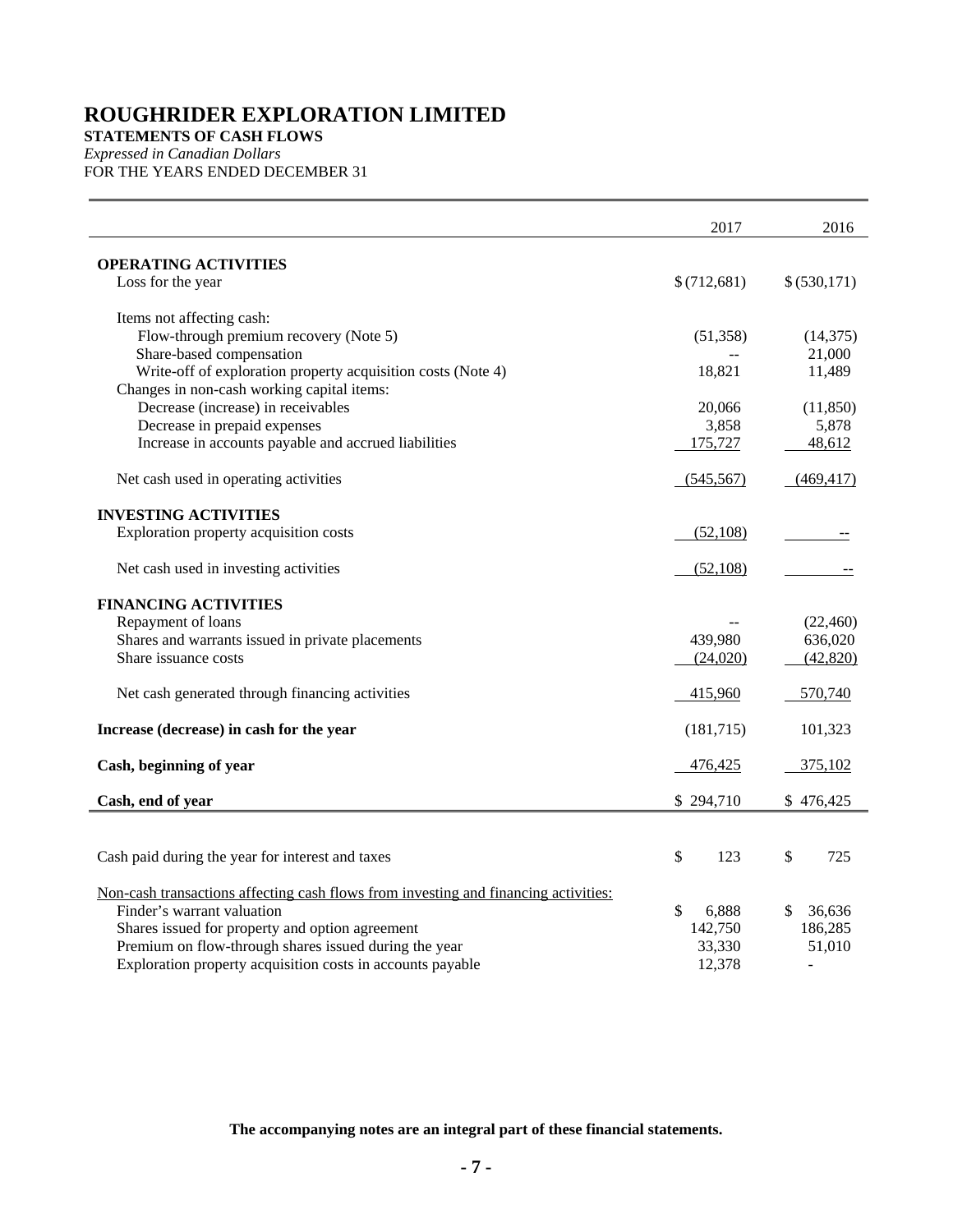**STATEMENTS OF CASH FLOWS**

*Expressed in Canadian Dollars* FOR THE YEARS ENDED DECEMBER 31

|                                                                                          | 2017        | 2016                     |
|------------------------------------------------------------------------------------------|-------------|--------------------------|
| <b>OPERATING ACTIVITIES</b>                                                              |             |                          |
| Loss for the year                                                                        | \$(712,681) | \$ (530,171)             |
| Items not affecting cash:                                                                |             |                          |
| Flow-through premium recovery (Note 5)                                                   | (51, 358)   | (14,375)                 |
| Share-based compensation<br>Write-off of exploration property acquisition costs (Note 4) | 18,821      | 21,000<br>11,489         |
| Changes in non-cash working capital items:                                               |             |                          |
| Decrease (increase) in receivables                                                       | 20,066      | (11, 850)                |
| Decrease in prepaid expenses                                                             | 3,858       | 5,878                    |
| Increase in accounts payable and accrued liabilities                                     | 175,727     | 48,612                   |
| Net cash used in operating activities                                                    | (545, 567)  | (469, 417)               |
| <b>INVESTING ACTIVITIES</b>                                                              |             |                          |
| Exploration property acquisition costs                                                   | (52,108)    |                          |
| Net cash used in investing activities                                                    | (52,108)    |                          |
| <b>FINANCING ACTIVITIES</b>                                                              |             |                          |
| Repayment of loans                                                                       |             | (22, 460)                |
| Shares and warrants issued in private placements                                         | 439,980     | 636,020                  |
| Share issuance costs                                                                     | (24,020)    | (42, 820)                |
| Net cash generated through financing activities                                          | 415,960     | 570,740                  |
| Increase (decrease) in cash for the year                                                 | (181, 715)  | 101,323                  |
| Cash, beginning of year                                                                  | 476,425     | 375,102                  |
| Cash, end of year                                                                        | \$294,710   | \$476,425                |
|                                                                                          |             |                          |
| Cash paid during the year for interest and taxes                                         | \$<br>123   | \$<br>725                |
| Non-cash transactions affecting cash flows from investing and financing activities:      |             |                          |
| Finder's warrant valuation                                                               | \$<br>6,888 | \$<br>36,636             |
| Shares issued for property and option agreement                                          | 142,750     | 186,285                  |
| Premium on flow-through shares issued during the year                                    | 33,330      | 51,010                   |
| Exploration property acquisition costs in accounts payable                               | 12,378      | $\overline{\phantom{a}}$ |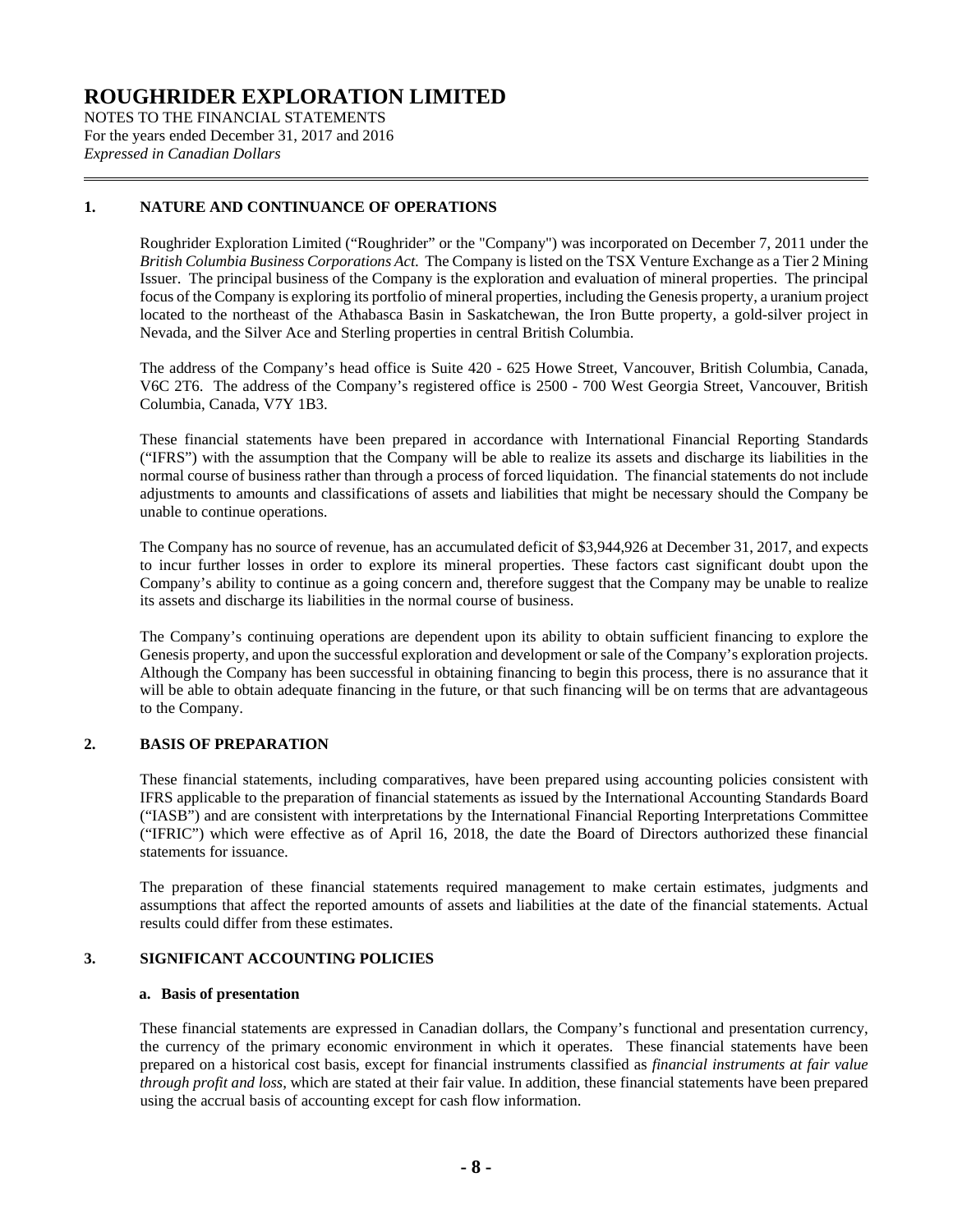NOTES TO THE FINANCIAL STATEMENTS For the years ended December 31, 2017 and 2016 *Expressed in Canadian Dollars*

### **1. NATURE AND CONTINUANCE OF OPERATIONS**

Roughrider Exploration Limited ("Roughrider" or the "Company") was incorporated on December 7, 2011 under the *British Columbia Business Corporations Act*. The Company is listed on the TSX Venture Exchange as a Tier 2 Mining Issuer. The principal business of the Company is the exploration and evaluation of mineral properties. The principal focus of the Company is exploring its portfolio of mineral properties, including the Genesis property, a uranium project located to the northeast of the Athabasca Basin in Saskatchewan, the Iron Butte property, a gold-silver project in Nevada, and the Silver Ace and Sterling properties in central British Columbia.

The address of the Company's head office is Suite 420 - 625 Howe Street, Vancouver, British Columbia, Canada, V6C 2T6. The address of the Company's registered office is 2500 - 700 West Georgia Street, Vancouver, British Columbia, Canada, V7Y 1B3.

These financial statements have been prepared in accordance with International Financial Reporting Standards ("IFRS") with the assumption that the Company will be able to realize its assets and discharge its liabilities in the normal course of business rather than through a process of forced liquidation. The financial statements do not include adjustments to amounts and classifications of assets and liabilities that might be necessary should the Company be unable to continue operations.

The Company has no source of revenue, has an accumulated deficit of \$3,944,926 at December 31, 2017, and expects to incur further losses in order to explore its mineral properties. These factors cast significant doubt upon the Company's ability to continue as a going concern and, therefore suggest that the Company may be unable to realize its assets and discharge its liabilities in the normal course of business.

The Company's continuing operations are dependent upon its ability to obtain sufficient financing to explore the Genesis property, and upon the successful exploration and development or sale of the Company's exploration projects. Although the Company has been successful in obtaining financing to begin this process, there is no assurance that it will be able to obtain adequate financing in the future, or that such financing will be on terms that are advantageous to the Company.

### **2. BASIS OF PREPARATION**

These financial statements, including comparatives, have been prepared using accounting policies consistent with IFRS applicable to the preparation of financial statements as issued by the International Accounting Standards Board ("IASB") and are consistent with interpretations by the International Financial Reporting Interpretations Committee ("IFRIC") which were effective as of April 16, 2018, the date the Board of Directors authorized these financial statements for issuance.

The preparation of these financial statements required management to make certain estimates, judgments and assumptions that affect the reported amounts of assets and liabilities at the date of the financial statements. Actual results could differ from these estimates.

### <span id="page-7-0"></span>**3. SIGNIFICANT ACCOUNTING POLICIES**

### **a. Basis of presentation**

These financial statements are expressed in Canadian dollars, the Company's functional and presentation currency, the currency of the primary economic environment in which it operates. These financial statements have been prepared on a historical cost basis, except for financial instruments classified as *financial instruments at fair value through profit and loss*, which are stated at their fair value. In addition, these financial statements have been prepared using the accrual basis of accounting except for cash flow information.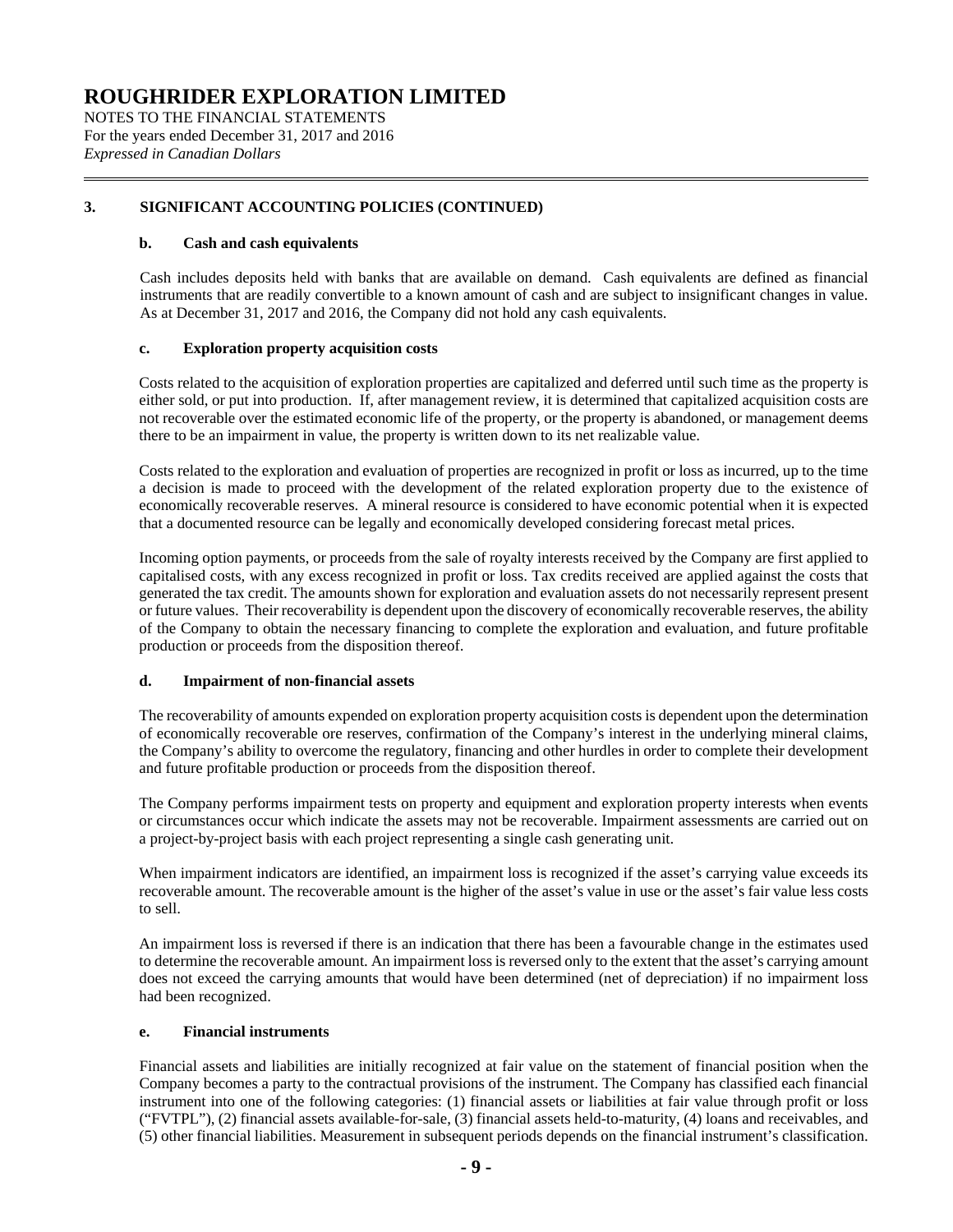NOTES TO THE FINANCIAL STATEMENTS For the years ended December 31, 2017 and 2016 *Expressed in Canadian Dollars*

### **[3.](#page-7-0) SIGNIFICANT ACCOUNTING POLICIES (CONTINUED)**

### **b. Cash and cash equivalents**

Cash includes deposits held with banks that are available on demand. Cash equivalents are defined as financial instruments that are readily convertible to a known amount of cash and are subject to insignificant changes in value. As at December 31, 2017 and 2016, the Company did not hold any cash equivalents.

### **c. Exploration property acquisition costs**

Costs related to the acquisition of exploration properties are capitalized and deferred until such time as the property is either sold, or put into production. If, after management review, it is determined that capitalized acquisition costs are not recoverable over the estimated economic life of the property, or the property is abandoned, or management deems there to be an impairment in value, the property is written down to its net realizable value.

Costs related to the exploration and evaluation of properties are recognized in profit or loss as incurred, up to the time a decision is made to proceed with the development of the related exploration property due to the existence of economically recoverable reserves. A mineral resource is considered to have economic potential when it is expected that a documented resource can be legally and economically developed considering forecast metal prices.

Incoming option payments, or proceeds from the sale of royalty interests received by the Company are first applied to capitalised costs, with any excess recognized in profit or loss. Tax credits received are applied against the costs that generated the tax credit. The amounts shown for exploration and evaluation assets do not necessarily represent present or future values. Their recoverability is dependent upon the discovery of economically recoverable reserves, the ability of the Company to obtain the necessary financing to complete the exploration and evaluation, and future profitable production or proceeds from the disposition thereof.

### **d. Impairment of non-financial assets**

The recoverability of amounts expended on exploration property acquisition costs is dependent upon the determination of economically recoverable ore reserves, confirmation of the Company's interest in the underlying mineral claims, the Company's ability to overcome the regulatory, financing and other hurdles in order to complete their development and future profitable production or proceeds from the disposition thereof.

The Company performs impairment tests on property and equipment and exploration property interests when events or circumstances occur which indicate the assets may not be recoverable. Impairment assessments are carried out on a project-by-project basis with each project representing a single cash generating unit.

When impairment indicators are identified, an impairment loss is recognized if the asset's carrying value exceeds its recoverable amount. The recoverable amount is the higher of the asset's value in use or the asset's fair value less costs to sell.

An impairment loss is reversed if there is an indication that there has been a favourable change in the estimates used to determine the recoverable amount. An impairment loss is reversed only to the extent that the asset's carrying amount does not exceed the carrying amounts that would have been determined (net of depreciation) if no impairment loss had been recognized.

#### **e. Financial instruments**

Financial assets and liabilities are initially recognized at fair value on the statement of financial position when the Company becomes a party to the contractual provisions of the instrument. The Company has classified each financial instrument into one of the following categories: (1) financial assets or liabilities at fair value through profit or loss ("FVTPL"), (2) financial assets available-for-sale, (3) financial assets held-to-maturity, (4) loans and receivables, and (5) other financial liabilities. Measurement in subsequent periods depends on the financial instrument's classification.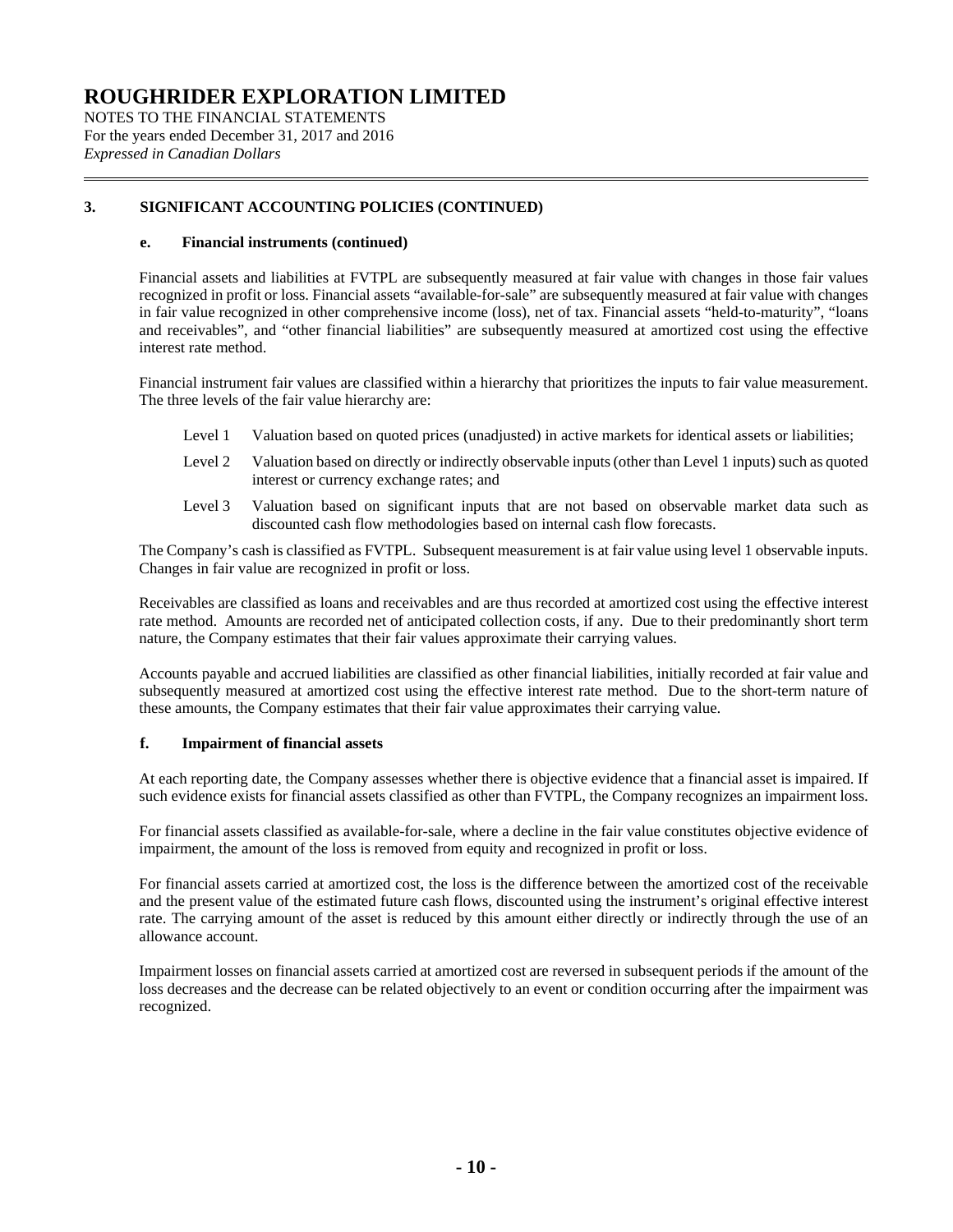NOTES TO THE FINANCIAL STATEMENTS For the years ended December 31, 2017 and 2016 *Expressed in Canadian Dollars*

### **[3.](#page-7-0) SIGNIFICANT ACCOUNTING POLICIES (CONTINUED)**

### **e. Financial instruments (continued)**

Financial assets and liabilities at FVTPL are subsequently measured at fair value with changes in those fair values recognized in profit or loss. Financial assets "available-for-sale" are subsequently measured at fair value with changes in fair value recognized in other comprehensive income (loss), net of tax. Financial assets "held-to-maturity", "loans and receivables", and "other financial liabilities" are subsequently measured at amortized cost using the effective interest rate method.

Financial instrument fair values are classified within a hierarchy that prioritizes the inputs to fair value measurement. The three levels of the fair value hierarchy are:

- Level 1 Valuation based on quoted prices (unadjusted) in active markets for identical assets or liabilities;
- Level 2 Valuation based on directly or indirectly observable inputs (other than Level 1 inputs) such as quoted interest or currency exchange rates; and
- Level 3 Valuation based on significant inputs that are not based on observable market data such as discounted cash flow methodologies based on internal cash flow forecasts.

The Company's cash is classified as FVTPL. Subsequent measurement is at fair value using level 1 observable inputs. Changes in fair value are recognized in profit or loss.

Receivables are classified as loans and receivables and are thus recorded at amortized cost using the effective interest rate method. Amounts are recorded net of anticipated collection costs, if any. Due to their predominantly short term nature, the Company estimates that their fair values approximate their carrying values.

Accounts payable and accrued liabilities are classified as other financial liabilities, initially recorded at fair value and subsequently measured at amortized cost using the effective interest rate method. Due to the short-term nature of these amounts, the Company estimates that their fair value approximates their carrying value.

### **f. Impairment of financial assets**

At each reporting date, the Company assesses whether there is objective evidence that a financial asset is impaired. If such evidence exists for financial assets classified as other than FVTPL, the Company recognizes an impairment loss.

For financial assets classified as available-for-sale, where a decline in the fair value constitutes objective evidence of impairment, the amount of the loss is removed from equity and recognized in profit or loss.

For financial assets carried at amortized cost, the loss is the difference between the amortized cost of the receivable and the present value of the estimated future cash flows, discounted using the instrument's original effective interest rate. The carrying amount of the asset is reduced by this amount either directly or indirectly through the use of an allowance account.

Impairment losses on financial assets carried at amortized cost are reversed in subsequent periods if the amount of the loss decreases and the decrease can be related objectively to an event or condition occurring after the impairment was recognized.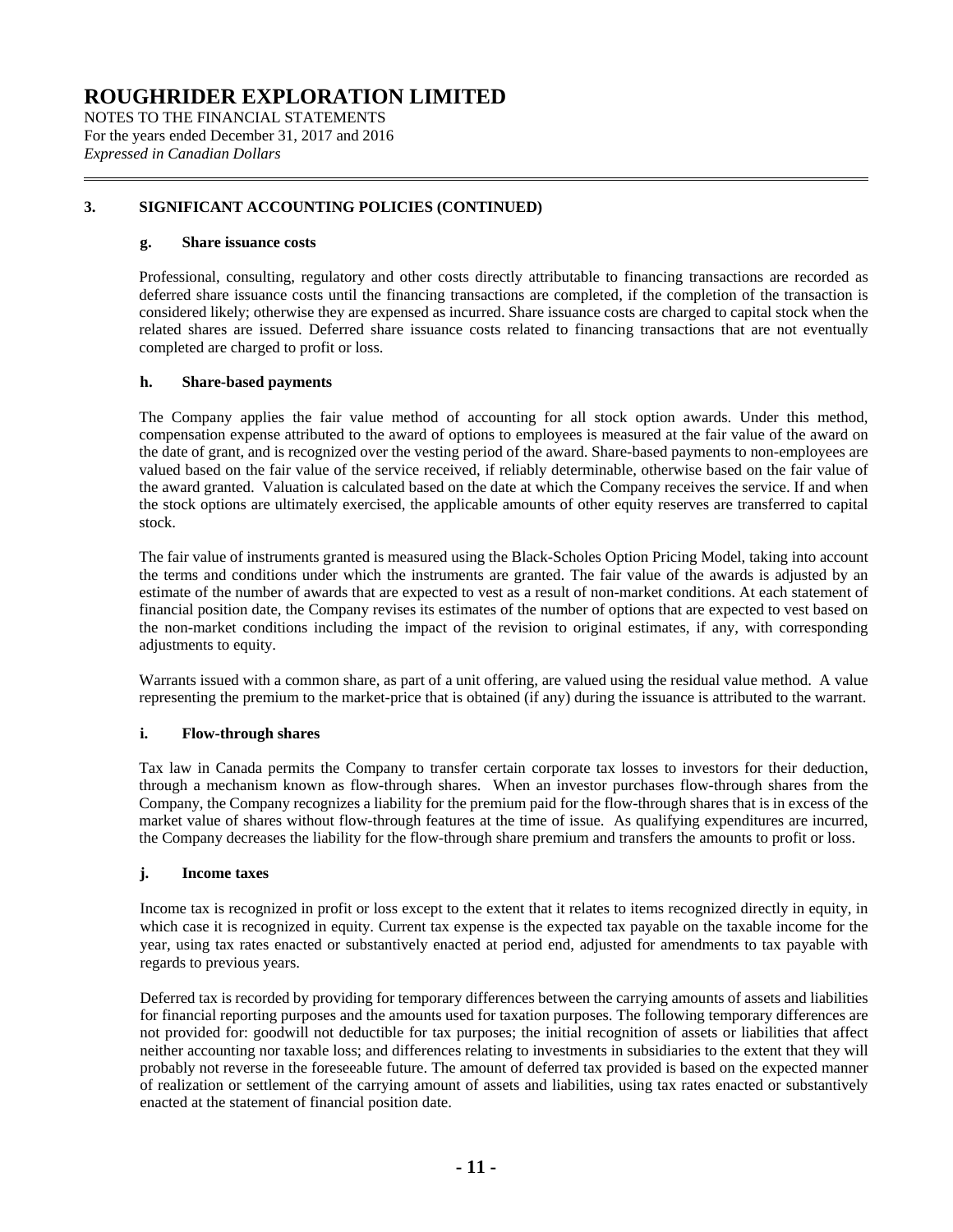NOTES TO THE FINANCIAL STATEMENTS For the years ended December 31, 2017 and 2016 *Expressed in Canadian Dollars*

### **[3.](#page-7-0) SIGNIFICANT ACCOUNTING POLICIES (CONTINUED)**

### **g. Share issuance costs**

Professional, consulting, regulatory and other costs directly attributable to financing transactions are recorded as deferred share issuance costs until the financing transactions are completed, if the completion of the transaction is considered likely; otherwise they are expensed as incurred. Share issuance costs are charged to capital stock when the related shares are issued. Deferred share issuance costs related to financing transactions that are not eventually completed are charged to profit or loss.

### **h. Share-based payments**

The Company applies the fair value method of accounting for all stock option awards. Under this method, compensation expense attributed to the award of options to employees is measured at the fair value of the award on the date of grant, and is recognized over the vesting period of the award. Share-based payments to non-employees are valued based on the fair value of the service received, if reliably determinable, otherwise based on the fair value of the award granted. Valuation is calculated based on the date at which the Company receives the service. If and when the stock options are ultimately exercised, the applicable amounts of other equity reserves are transferred to capital stock.

The fair value of instruments granted is measured using the Black-Scholes Option Pricing Model, taking into account the terms and conditions under which the instruments are granted. The fair value of the awards is adjusted by an estimate of the number of awards that are expected to vest as a result of non-market conditions. At each statement of financial position date, the Company revises its estimates of the number of options that are expected to vest based on the non-market conditions including the impact of the revision to original estimates, if any, with corresponding adjustments to equity.

Warrants issued with a common share, as part of a unit offering, are valued using the residual value method. A value representing the premium to the market-price that is obtained (if any) during the issuance is attributed to the warrant.

### **i. Flow-through shares**

Tax law in Canada permits the Company to transfer certain corporate tax losses to investors for their deduction, through a mechanism known as flow-through shares. When an investor purchases flow-through shares from the Company, the Company recognizes a liability for the premium paid for the flow-through shares that is in excess of the market value of shares without flow-through features at the time of issue. As qualifying expenditures are incurred, the Company decreases the liability for the flow-through share premium and transfers the amounts to profit or loss.

#### **j. Income taxes**

Income tax is recognized in profit or loss except to the extent that it relates to items recognized directly in equity, in which case it is recognized in equity. Current tax expense is the expected tax payable on the taxable income for the year, using tax rates enacted or substantively enacted at period end, adjusted for amendments to tax payable with regards to previous years.

Deferred tax is recorded by providing for temporary differences between the carrying amounts of assets and liabilities for financial reporting purposes and the amounts used for taxation purposes. The following temporary differences are not provided for: goodwill not deductible for tax purposes; the initial recognition of assets or liabilities that affect neither accounting nor taxable loss; and differences relating to investments in subsidiaries to the extent that they will probably not reverse in the foreseeable future. The amount of deferred tax provided is based on the expected manner of realization or settlement of the carrying amount of assets and liabilities, using tax rates enacted or substantively enacted at the statement of financial position date.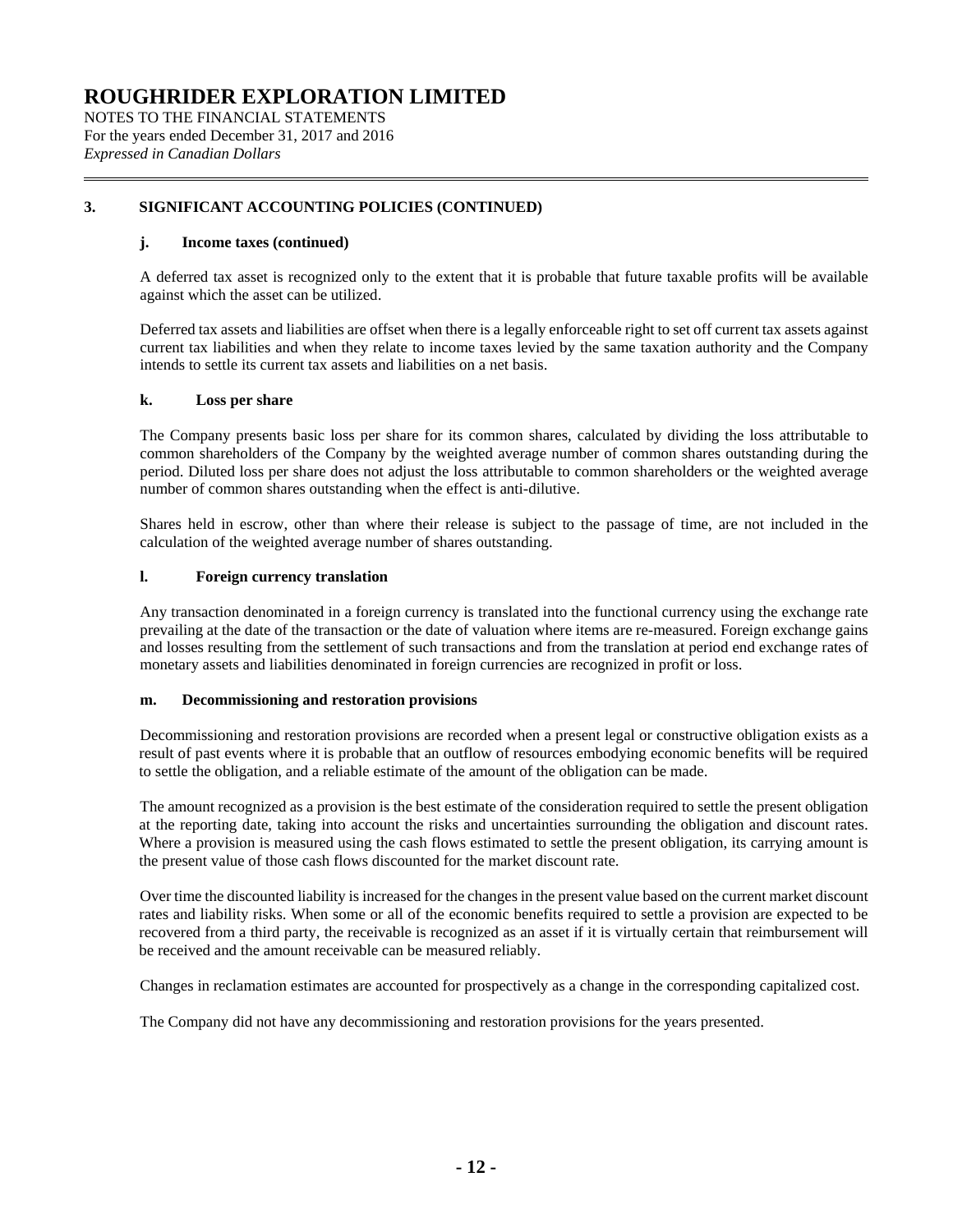NOTES TO THE FINANCIAL STATEMENTS For the years ended December 31, 2017 and 2016 *Expressed in Canadian Dollars*

### **[3.](#page-7-0) SIGNIFICANT ACCOUNTING POLICIES (CONTINUED)**

### **j. Income taxes (continued)**

A deferred tax asset is recognized only to the extent that it is probable that future taxable profits will be available against which the asset can be utilized.

Deferred tax assets and liabilities are offset when there is a legally enforceable right to set off current tax assets against current tax liabilities and when they relate to income taxes levied by the same taxation authority and the Company intends to settle its current tax assets and liabilities on a net basis.

### **k. Loss per share**

The Company presents basic loss per share for its common shares, calculated by dividing the loss attributable to common shareholders of the Company by the weighted average number of common shares outstanding during the period. Diluted loss per share does not adjust the loss attributable to common shareholders or the weighted average number of common shares outstanding when the effect is anti-dilutive.

Shares held in escrow, other than where their release is subject to the passage of time, are not included in the calculation of the weighted average number of shares outstanding.

### **l. Foreign currency translation**

Any transaction denominated in a foreign currency is translated into the functional currency using the exchange rate prevailing at the date of the transaction or the date of valuation where items are re-measured. Foreign exchange gains and losses resulting from the settlement of such transactions and from the translation at period end exchange rates of monetary assets and liabilities denominated in foreign currencies are recognized in profit or loss.

### **m. Decommissioning and restoration provisions**

Decommissioning and restoration provisions are recorded when a present legal or constructive obligation exists as a result of past events where it is probable that an outflow of resources embodying economic benefits will be required to settle the obligation, and a reliable estimate of the amount of the obligation can be made.

The amount recognized as a provision is the best estimate of the consideration required to settle the present obligation at the reporting date, taking into account the risks and uncertainties surrounding the obligation and discount rates. Where a provision is measured using the cash flows estimated to settle the present obligation, its carrying amount is the present value of those cash flows discounted for the market discount rate.

Over time the discounted liability is increased for the changes in the present value based on the current market discount rates and liability risks. When some or all of the economic benefits required to settle a provision are expected to be recovered from a third party, the receivable is recognized as an asset if it is virtually certain that reimbursement will be received and the amount receivable can be measured reliably.

Changes in reclamation estimates are accounted for prospectively as a change in the corresponding capitalized cost.

The Company did not have any decommissioning and restoration provisions for the years presented.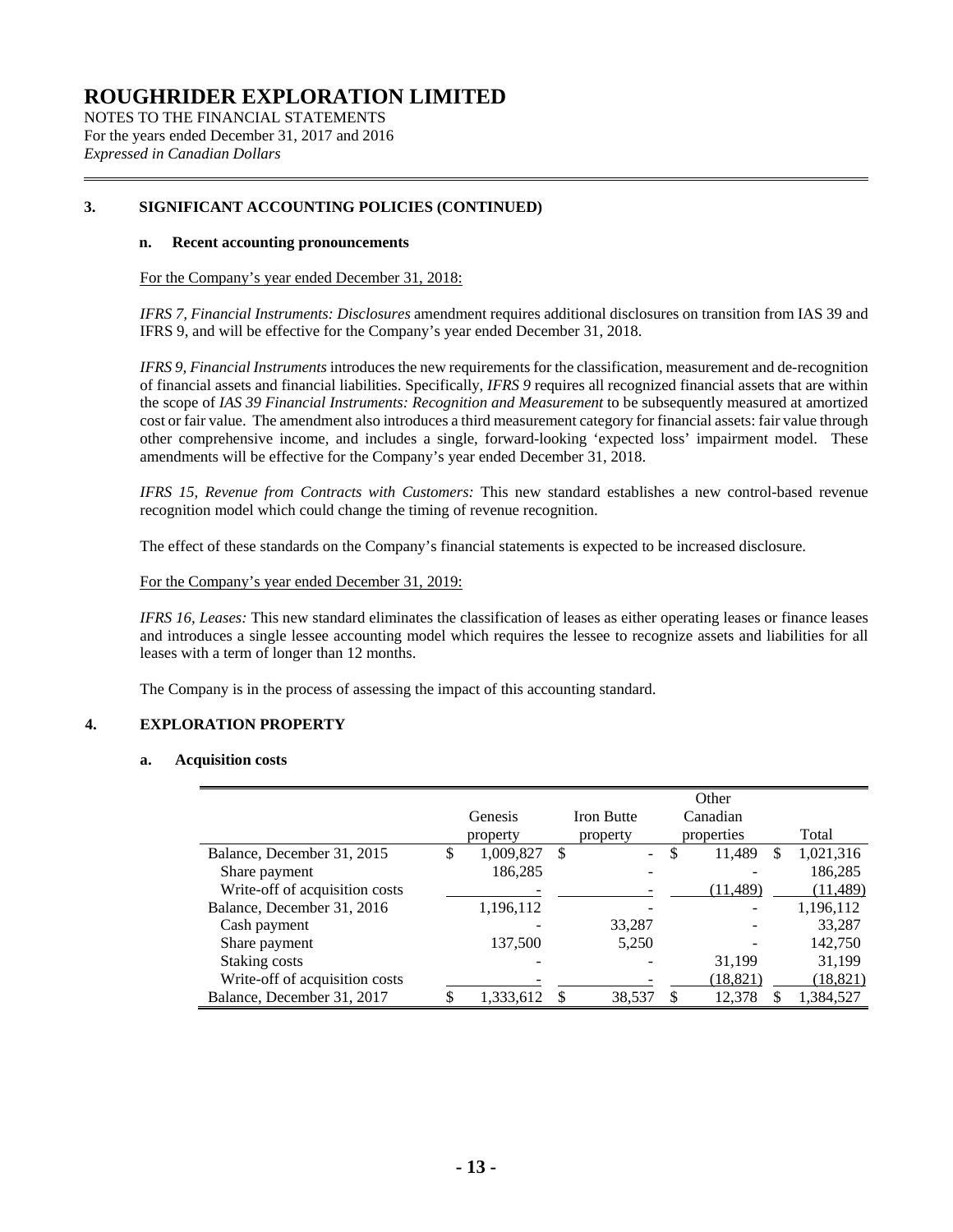NOTES TO THE FINANCIAL STATEMENTS For the years ended December 31, 2017 and 2016 *Expressed in Canadian Dollars*

### **[3.](#page-7-0) SIGNIFICANT ACCOUNTING POLICIES (CONTINUED)**

### **n. Recent accounting pronouncements**

For the Company's year ended December 31, 2018:

*IFRS 7, Financial Instruments: Disclosures* amendment requires additional disclosures on transition from IAS 39 and IFRS 9, and will be effective for the Company's year ended December 31, 2018.

*IFRS 9, Financial Instruments* introduces the new requirements for the classification, measurement and de-recognition of financial assets and financial liabilities. Specifically, *IFRS 9* requires all recognized financial assets that are within the scope of *IAS 39 Financial Instruments: Recognition and Measurement* to be subsequently measured at amortized cost or fair value. The amendment also introduces a third measurement category for financial assets: fair value through other comprehensive income, and includes a single, forward-looking 'expected loss' impairment model. These amendments will be effective for the Company's year ended December 31, 2018.

*IFRS 15, Revenue from Contracts with Customers:* This new standard establishes a new control-based revenue recognition model which could change the timing of revenue recognition.

The effect of these standards on the Company's financial statements is expected to be increased disclosure.

For the Company's year ended December 31, 2019:

*IFRS 16, Leases:* This new standard eliminates the classification of leases as either operating leases or finance leases and introduces a single lessee accounting model which requires the lessee to recognize assets and liabilities for all leases with a term of longer than 12 months.

The Company is in the process of assessing the impact of this accounting standard.

### <span id="page-12-0"></span>**4. EXPLORATION PROPERTY**

### **a. Acquisition costs**

|                                |                 |                                | Other             |           |
|--------------------------------|-----------------|--------------------------------|-------------------|-----------|
|                                | Genesis         | <b>Iron Butte</b>              | Canadian          |           |
|                                | property        | property                       | properties        | Total     |
| Balance, December 31, 2015     | \$<br>1,009,827 | \$<br>$\overline{\phantom{a}}$ | \$<br>11,489<br>S | 1,021,316 |
| Share payment                  | 186,285         |                                |                   | 186,285   |
| Write-off of acquisition costs |                 |                                | (11, 489)         | (11, 489) |
| Balance, December 31, 2016     | 1,196,112       |                                |                   | 1,196,112 |
| Cash payment                   |                 | 33,287                         |                   | 33,287    |
| Share payment                  | 137,500         | 5,250                          |                   | 142,750   |
| Staking costs                  |                 |                                | 31,199            | 31,199    |
| Write-off of acquisition costs |                 |                                | (18, 821)         | (18, 821) |
| Balance, December 31, 2017     | 1,333,612       | 38,537                         | 12.378            | 1,384,527 |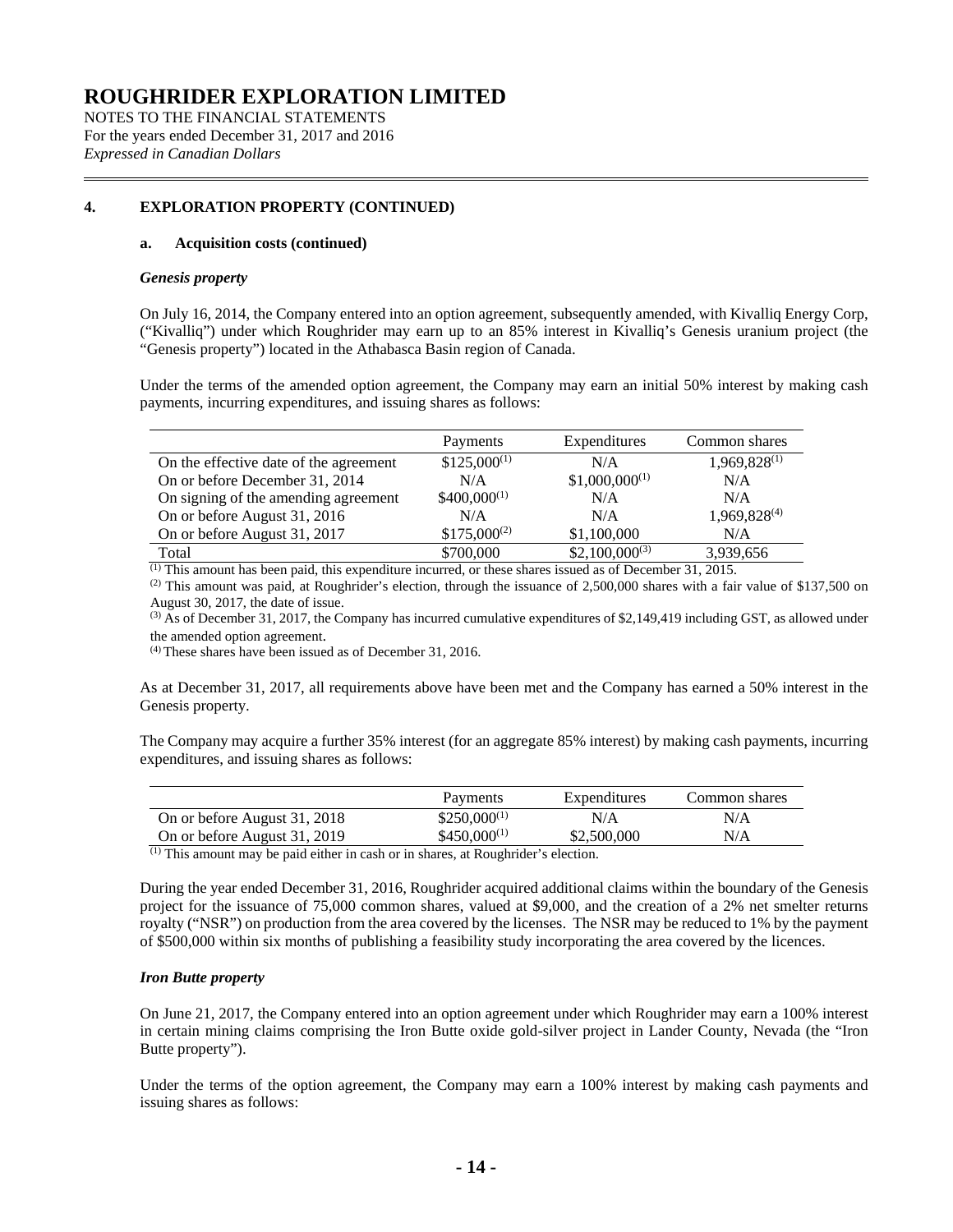NOTES TO THE FINANCIAL STATEMENTS For the years ended December 31, 2017 and 2016 *Expressed in Canadian Dollars*

### **[4.](#page-12-0) EXPLORATION PROPERTY (CONTINUED)**

### **a. Acquisition costs (continued)**

### *Genesis property*

On July 16, 2014, the Company entered into an option agreement, subsequently amended, with Kivalliq Energy Corp, ("Kivalliq") under which Roughrider may earn up to an 85% interest in Kivalliq's Genesis uranium project (the "Genesis property") located in the Athabasca Basin region of Canada.

Under the terms of the amended option agreement, the Company may earn an initial 50% interest by making cash payments, incurring expenditures, and issuing shares as follows:

|                                        | Payments         | Expenditures       | Common shares            |
|----------------------------------------|------------------|--------------------|--------------------------|
| On the effective date of the agreement | $$125,000^{(1)}$ | N/A                | 1,969,828(1)             |
| On or before December 31, 2014         | N/A              | $$1,000,000^{(1)}$ | N/A                      |
| On signing of the amending agreement   | $$400,000^{(1)}$ | N/A                | N/A                      |
| On or before August 31, 2016           | N/A              | N/A                | 1,969,828 <sup>(4)</sup> |
| On or before August 31, 2017           | $$175,000^{(2)}$ | \$1,100,000        | N/A                      |
| Total                                  | \$700,000        | $$2,100,000^{(3)}$ | 3,939,656                |

(1) This amount has been paid, this expenditure incurred, or these shares issued as of December 31, 2015.

 $^{(2)}$  This amount was paid, at Roughrider's election, through the issuance of 2,500,000 shares with a fair value of \$137,500 on August 30, 2017, the date of issue.

 $^{(3)}$  As of December 31, 2017, the Company has incurred cumulative expenditures of \$2,149,419 including GST, as allowed under the amended option agreement.

(4) These shares have been issued as of December 31, 2016.

As at December 31, 2017, all requirements above have been met and the Company has earned a 50% interest in the Genesis property.

The Company may acquire a further 35% interest (for an aggregate 85% interest) by making cash payments, incurring expenditures, and issuing shares as follows:

|                              | Payments         | Expenditures | Common shares |
|------------------------------|------------------|--------------|---------------|
| On or before August 31, 2018 | $$250,000^{(1)}$ | N/A          | N/A           |
| On or before August 31, 2019 | $$450,000^{(1)}$ | \$2,500,000  | N/A           |

(1) This amount may be paid either in cash or in shares, at Roughrider's election.

During the year ended December 31, 2016, Roughrider acquired additional claims within the boundary of the Genesis project for the issuance of 75,000 common shares, valued at \$9,000, and the creation of a 2% net smelter returns royalty ("NSR") on production from the area covered by the licenses. The NSR may be reduced to 1% by the payment of \$500,000 within six months of publishing a feasibility study incorporating the area covered by the licences.

### *Iron Butte property*

On June 21, 2017, the Company entered into an option agreement under which Roughrider may earn a 100% interest in certain mining claims comprising the Iron Butte oxide gold-silver project in Lander County, Nevada (the "Iron Butte property").

Under the terms of the option agreement, the Company may earn a 100% interest by making cash payments and issuing shares as follows: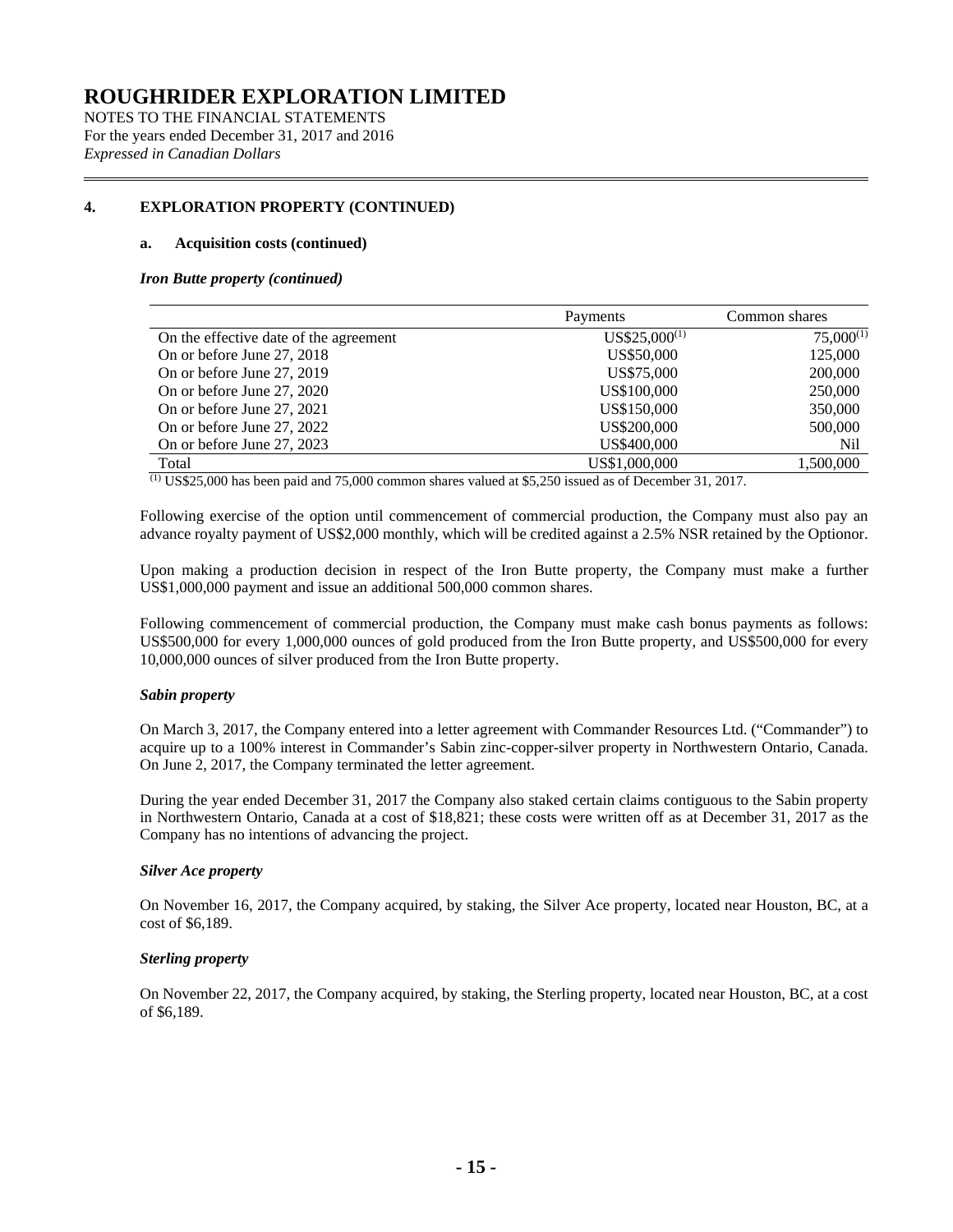NOTES TO THE FINANCIAL STATEMENTS For the years ended December 31, 2017 and 2016 *Expressed in Canadian Dollars*

### **[4.](#page-12-0) EXPLORATION PROPERTY (CONTINUED)**

### **a. Acquisition costs (continued)**

### *Iron Butte property (continued)*

|                                        | Payments          | Common shares  |
|----------------------------------------|-------------------|----------------|
| On the effective date of the agreement | $US$25,000^{(1)}$ | $75,000^{(1)}$ |
| On or before June 27, 2018             | US\$50,000        | 125,000        |
| On or before June 27, 2019             | US\$75,000        | 200,000        |
| On or before June 27, 2020             | US\$100,000       | 250,000        |
| On or before June 27, 2021             | US\$150,000       | 350,000        |
| On or before June 27, 2022             | US\$200,000       | 500,000        |
| On or before June 27, 2023             | US\$400,000       | Nil            |
| Total                                  | US\$1,000,000     | 1,500,000      |

(1) US\$25,000 has been paid and 75,000 common shares valued at \$5,250 issued as of December 31, 2017.

Following exercise of the option until commencement of commercial production, the Company must also pay an advance royalty payment of US\$2,000 monthly, which will be credited against a 2.5% NSR retained by the Optionor.

Upon making a production decision in respect of the Iron Butte property, the Company must make a further US\$1,000,000 payment and issue an additional 500,000 common shares.

Following commencement of commercial production, the Company must make cash bonus payments as follows: US\$500,000 for every 1,000,000 ounces of gold produced from the Iron Butte property, and US\$500,000 for every 10,000,000 ounces of silver produced from the Iron Butte property.

### *Sabin property*

On March 3, 2017, the Company entered into a letter agreement with Commander Resources Ltd. ("Commander") to acquire up to a 100% interest in Commander's Sabin zinc-copper-silver property in Northwestern Ontario, Canada. On June 2, 2017, the Company terminated the letter agreement.

During the year ended December 31, 2017 the Company also staked certain claims contiguous to the Sabin property in Northwestern Ontario, Canada at a cost of \$18,821; these costs were written off as at December 31, 2017 as the Company has no intentions of advancing the project.

### *Silver Ace property*

On November 16, 2017, the Company acquired, by staking, the Silver Ace property, located near Houston, BC, at a cost of \$6,189.

### *Sterling property*

On November 22, 2017, the Company acquired, by staking, the Sterling property, located near Houston, BC, at a cost of \$6,189.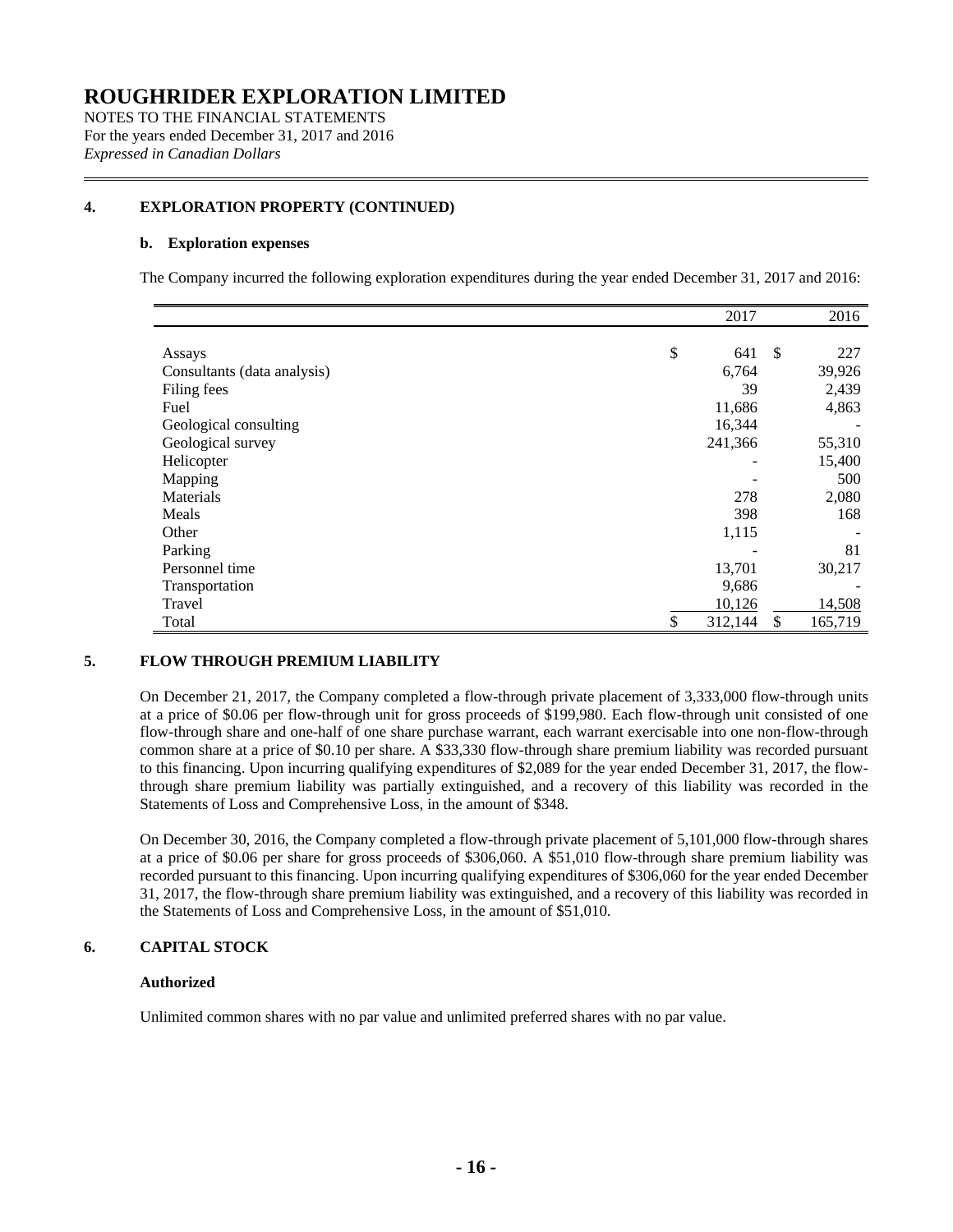NOTES TO THE FINANCIAL STATEMENTS For the years ended December 31, 2017 and 2016 *Expressed in Canadian Dollars*

### **[4.](#page-12-0) EXPLORATION PROPERTY (CONTINUED)**

### **b. Exploration expenses**

The Company incurred the following exploration expenditures during the year ended December 31, 2017 and 2016:

|                             | 2017          | 2016          |
|-----------------------------|---------------|---------------|
|                             |               |               |
| Assays                      | \$<br>641     | \$<br>227     |
| Consultants (data analysis) | 6,764         | 39,926        |
| Filing fees                 | 39            | 2,439         |
| Fuel                        | 11,686        | 4,863         |
| Geological consulting       | 16,344        |               |
| Geological survey           | 241,366       | 55,310        |
| Helicopter                  |               | 15,400        |
| Mapping                     |               | 500           |
| Materials                   | 278           | 2,080         |
| Meals                       | 398           | 168           |
| Other                       | 1,115         |               |
| Parking                     |               | 81            |
| Personnel time              | 13,701        | 30,217        |
| Transportation              | 9,686         |               |
| Travel                      | 10,126        | 14,508        |
| Total                       | \$<br>312,144 | \$<br>165,719 |

### **5. FLOW THROUGH PREMIUM LIABILITY**

On December 21, 2017, the Company completed a flow-through private placement of 3,333,000 flow-through units at a price of \$0.06 per flow-through unit for gross proceeds of \$199,980. Each flow-through unit consisted of one flow-through share and one-half of one share purchase warrant, each warrant exercisable into one non-flow-through common share at a price of \$0.10 per share. A \$33,330 flow-through share premium liability was recorded pursuant to this financing. Upon incurring qualifying expenditures of \$2,089 for the year ended December 31, 2017, the flowthrough share premium liability was partially extinguished, and a recovery of this liability was recorded in the Statements of Loss and Comprehensive Loss, in the amount of \$348.

On December 30, 2016, the Company completed a flow-through private placement of 5,101,000 flow-through shares at a price of \$0.06 per share for gross proceeds of \$306,060. A \$51,010 flow-through share premium liability was recorded pursuant to this financing. Upon incurring qualifying expenditures of \$306,060 for the year ended December 31, 2017, the flow-through share premium liability was extinguished, and a recovery of this liability was recorded in the Statements of Loss and Comprehensive Loss, in the amount of \$51,010.

### **6. CAPITAL STOCK**

#### **Authorized**

Unlimited common shares with no par value and unlimited preferred shares with no par value.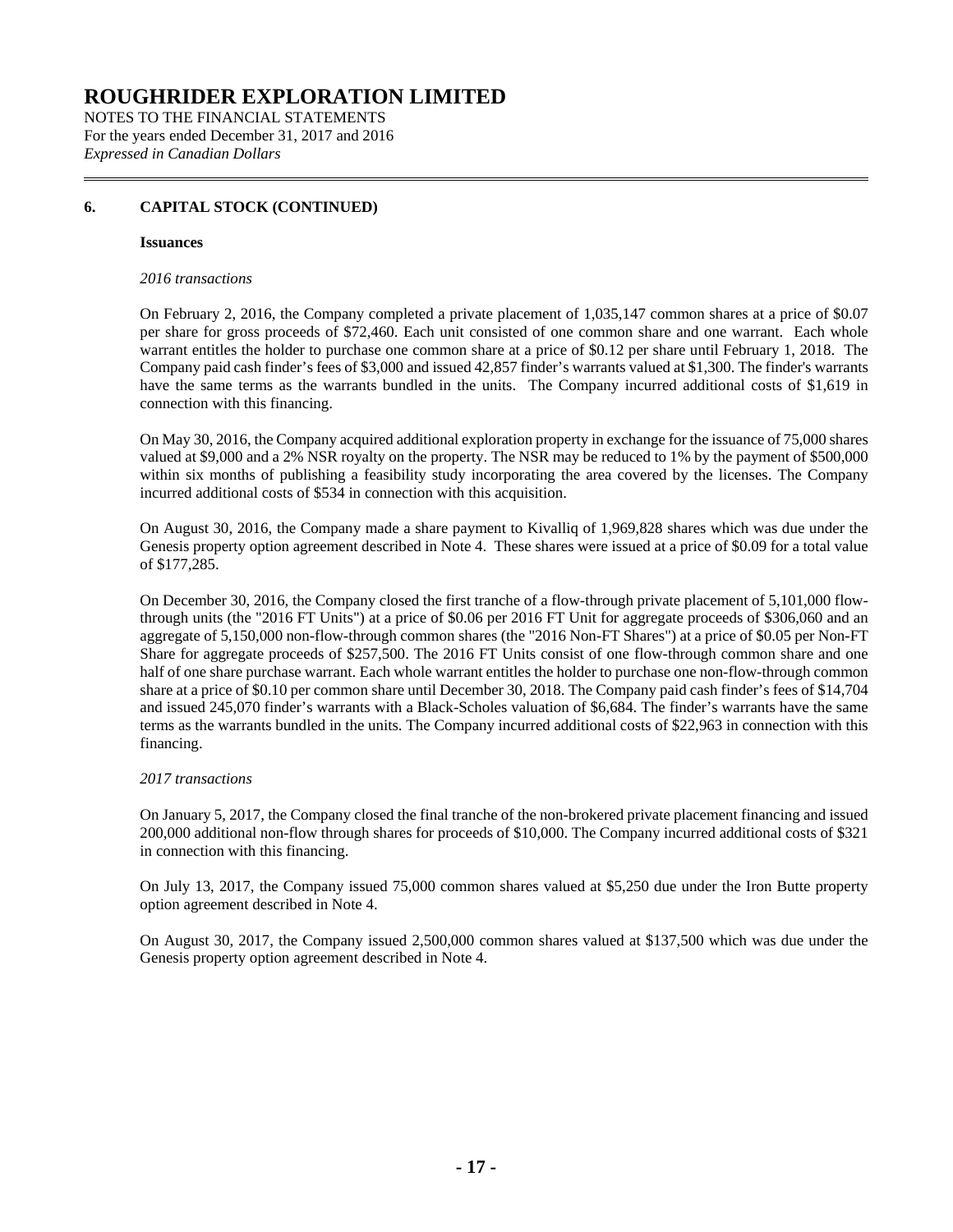NOTES TO THE FINANCIAL STATEMENTS For the years ended December 31, 2017 and 2016 *Expressed in Canadian Dollars*

### **6. CAPITAL STOCK (CONTINUED)**

### **Issuances**

### *2016 transactions*

On February 2, 2016, the Company completed a private placement of 1,035,147 common shares at a price of \$0.07 per share for gross proceeds of \$72,460. Each unit consisted of one common share and one warrant. Each whole warrant entitles the holder to purchase one common share at a price of \$0.12 per share until February 1, 2018. The Company paid cash finder's fees of \$3,000 and issued 42,857 finder's warrants valued at \$1,300. The finder's warrants have the same terms as the warrants bundled in the units. The Company incurred additional costs of \$1,619 in connection with this financing.

On May 30, 2016, the Company acquired additional exploration property in exchange for the issuance of 75,000 shares valued at \$9,000 and a 2% NSR royalty on the property. The NSR may be reduced to 1% by the payment of \$500,000 within six months of publishing a feasibility study incorporating the area covered by the licenses. The Company incurred additional costs of \$534 in connection with this acquisition.

On August 30, 2016, the Company made a share payment to Kivalliq of 1,969,828 shares which was due under the Genesis property option agreement described in Note 4. These shares were issued at a price of \$0.09 for a total value of \$177,285.

On December 30, 2016, the Company closed the first tranche of a flow-through private placement of 5,101,000 flowthrough units (the "2016 FT Units") at a price of \$0.06 per 2016 FT Unit for aggregate proceeds of \$306,060 and an aggregate of 5,150,000 non-flow-through common shares (the "2016 Non-FT Shares") at a price of \$0.05 per Non-FT Share for aggregate proceeds of \$257,500. The 2016 FT Units consist of one flow-through common share and one half of one share purchase warrant. Each whole warrant entitles the holder to purchase one non-flow-through common share at a price of \$0.10 per common share until December 30, 2018. The Company paid cash finder's fees of \$14,704 and issued 245,070 finder's warrants with a Black-Scholes valuation of \$6,684. The finder's warrants have the same terms as the warrants bundled in the units. The Company incurred additional costs of \$22,963 in connection with this financing.

### *2017 transactions*

On January 5, 2017, the Company closed the final tranche of the non-brokered private placement financing and issued 200,000 additional non-flow through shares for proceeds of \$10,000. The Company incurred additional costs of \$321 in connection with this financing.

On July 13, 2017, the Company issued 75,000 common shares valued at \$5,250 due under the Iron Butte property option agreement described in Note 4.

On August 30, 2017, the Company issued 2,500,000 common shares valued at \$137,500 which was due under the Genesis property option agreement described in Note 4.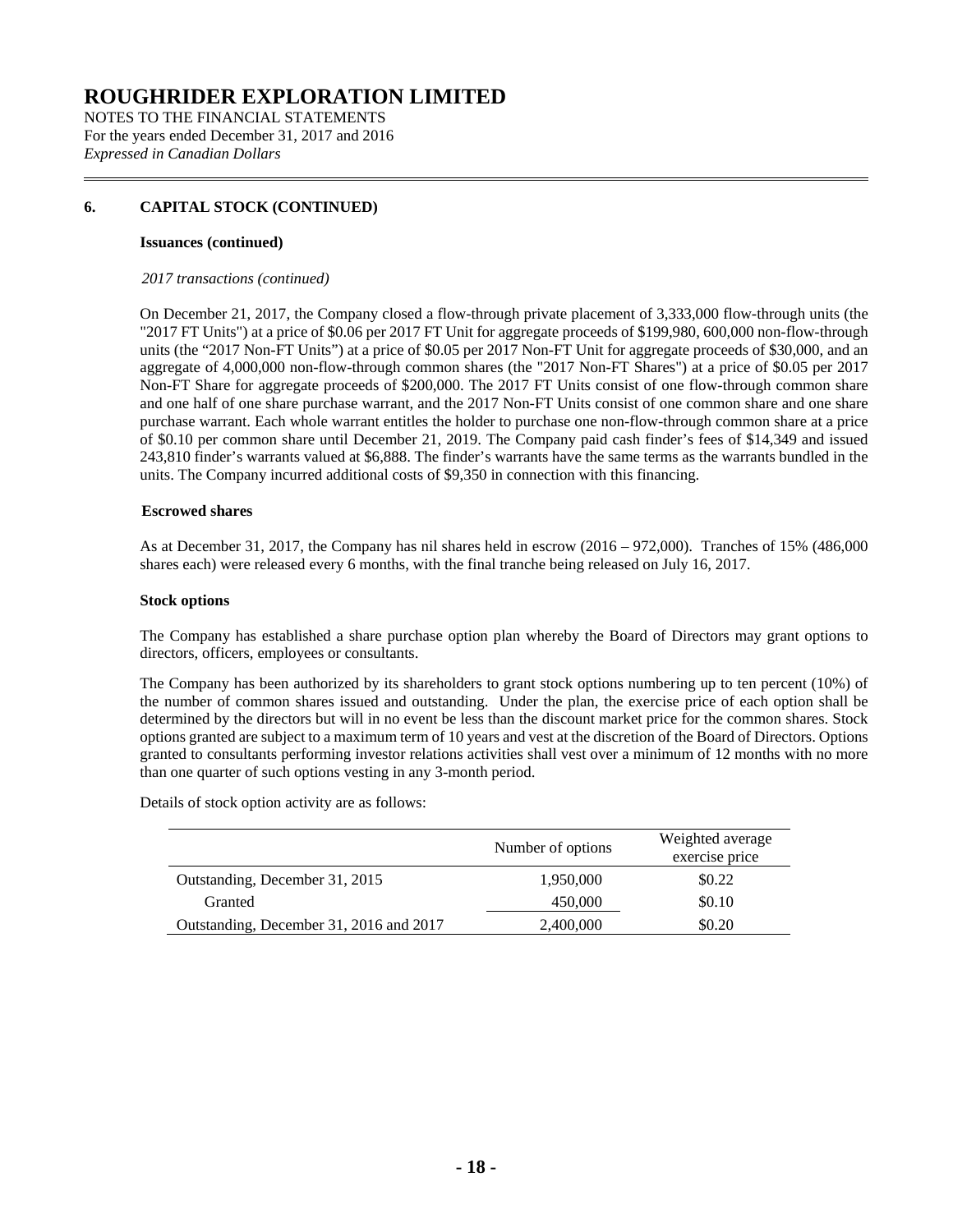NOTES TO THE FINANCIAL STATEMENTS For the years ended December 31, 2017 and 2016 *Expressed in Canadian Dollars*

### **6. CAPITAL STOCK (CONTINUED)**

#### **Issuances (continued)**

### *2017 transactions (continued)*

On December 21, 2017, the Company closed a flow-through private placement of 3,333,000 flow-through units (the "2017 FT Units") at a price of \$0.06 per 2017 FT Unit for aggregate proceeds of \$199,980, 600,000 non-flow-through units (the "2017 Non-FT Units") at a price of \$0.05 per 2017 Non-FT Unit for aggregate proceeds of \$30,000, and an aggregate of 4,000,000 non-flow-through common shares (the "2017 Non-FT Shares") at a price of \$0.05 per 2017 Non-FT Share for aggregate proceeds of \$200,000. The 2017 FT Units consist of one flow-through common share and one half of one share purchase warrant, and the 2017 Non-FT Units consist of one common share and one share purchase warrant. Each whole warrant entitles the holder to purchase one non-flow-through common share at a price of \$0.10 per common share until December 21, 2019. The Company paid cash finder's fees of \$14,349 and issued 243,810 finder's warrants valued at \$6,888. The finder's warrants have the same terms as the warrants bundled in the units. The Company incurred additional costs of \$9,350 in connection with this financing.

### **Escrowed shares**

As at December 31, 2017, the Company has nil shares held in escrow (2016 – 972,000). Tranches of 15% (486,000 shares each) were released every 6 months, with the final tranche being released on July 16, 2017.

### **Stock options**

The Company has established a share purchase option plan whereby the Board of Directors may grant options to directors, officers, employees or consultants.

The Company has been authorized by its shareholders to grant stock options numbering up to ten percent (10%) of the number of common shares issued and outstanding. Under the plan, the exercise price of each option shall be determined by the directors but will in no event be less than the discount market price for the common shares. Stock options granted are subject to a maximum term of 10 years and vest at the discretion of the Board of Directors. Options granted to consultants performing investor relations activities shall vest over a minimum of 12 months with no more than one quarter of such options vesting in any 3-month period.

Details of stock option activity are as follows:

|                                         | Number of options | Weighted average<br>exercise price |
|-----------------------------------------|-------------------|------------------------------------|
| Outstanding, December 31, 2015          | 1,950,000         | \$0.22                             |
| Granted                                 | 450,000           | \$0.10                             |
| Outstanding, December 31, 2016 and 2017 | 2,400,000         | \$0.20                             |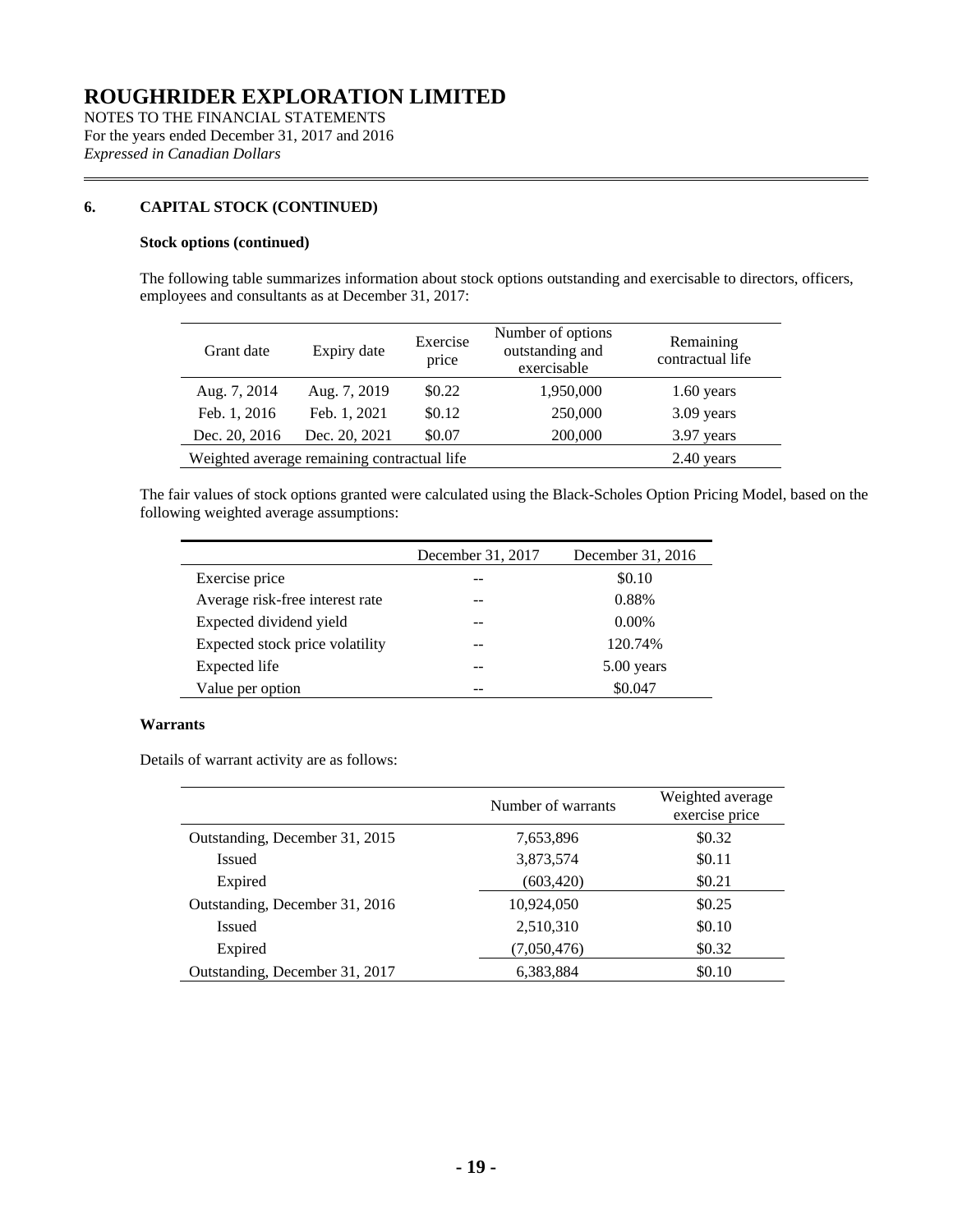NOTES TO THE FINANCIAL STATEMENTS For the years ended December 31, 2017 and 2016 *Expressed in Canadian Dollars*

### **6. CAPITAL STOCK (CONTINUED)**

### **Stock options (continued)**

The following table summarizes information about stock options outstanding and exercisable to directors, officers, employees and consultants as at December 31, 2017:

| Grant date    | Expiry date                                 | Exercise<br>price | Number of options<br>outstanding and<br>exercisable | Remaining<br>contractual life |
|---------------|---------------------------------------------|-------------------|-----------------------------------------------------|-------------------------------|
| Aug. 7, 2014  | Aug. 7, 2019                                | \$0.22            | 1,950,000                                           | $1.60$ years                  |
| Feb. 1, 2016  | Feb. 1, 2021                                | \$0.12            | 250,000                                             | 3.09 years                    |
| Dec. 20, 2016 | Dec. 20, 2021                               | \$0.07            | 200,000                                             | 3.97 years                    |
|               | Weighted average remaining contractual life |                   |                                                     | $2.40$ years                  |

The fair values of stock options granted were calculated using the Black-Scholes Option Pricing Model, based on the following weighted average assumptions:

|                                 | December 31, 2017 | December 31, 2016 |
|---------------------------------|-------------------|-------------------|
| Exercise price                  |                   | \$0.10            |
| Average risk-free interest rate |                   | 0.88%             |
| Expected dividend yield         |                   | $0.00\%$          |
| Expected stock price volatility |                   | 120.74%           |
| Expected life                   |                   | 5.00 years        |
| Value per option                |                   | \$0.047           |

### **Warrants**

Details of warrant activity are as follows:

|                                | Number of warrants | Weighted average<br>exercise price |  |  |
|--------------------------------|--------------------|------------------------------------|--|--|
| Outstanding, December 31, 2015 | 7,653,896          | \$0.32                             |  |  |
| <b>Issued</b>                  | 3,873,574          | \$0.11                             |  |  |
| Expired                        | (603, 420)         | \$0.21                             |  |  |
| Outstanding, December 31, 2016 | 10,924,050         | \$0.25                             |  |  |
| <b>Issued</b>                  | 2,510,310          | \$0.10                             |  |  |
| Expired                        | (7,050,476)        | \$0.32                             |  |  |
| Outstanding, December 31, 2017 | 6.383.884          | \$0.10                             |  |  |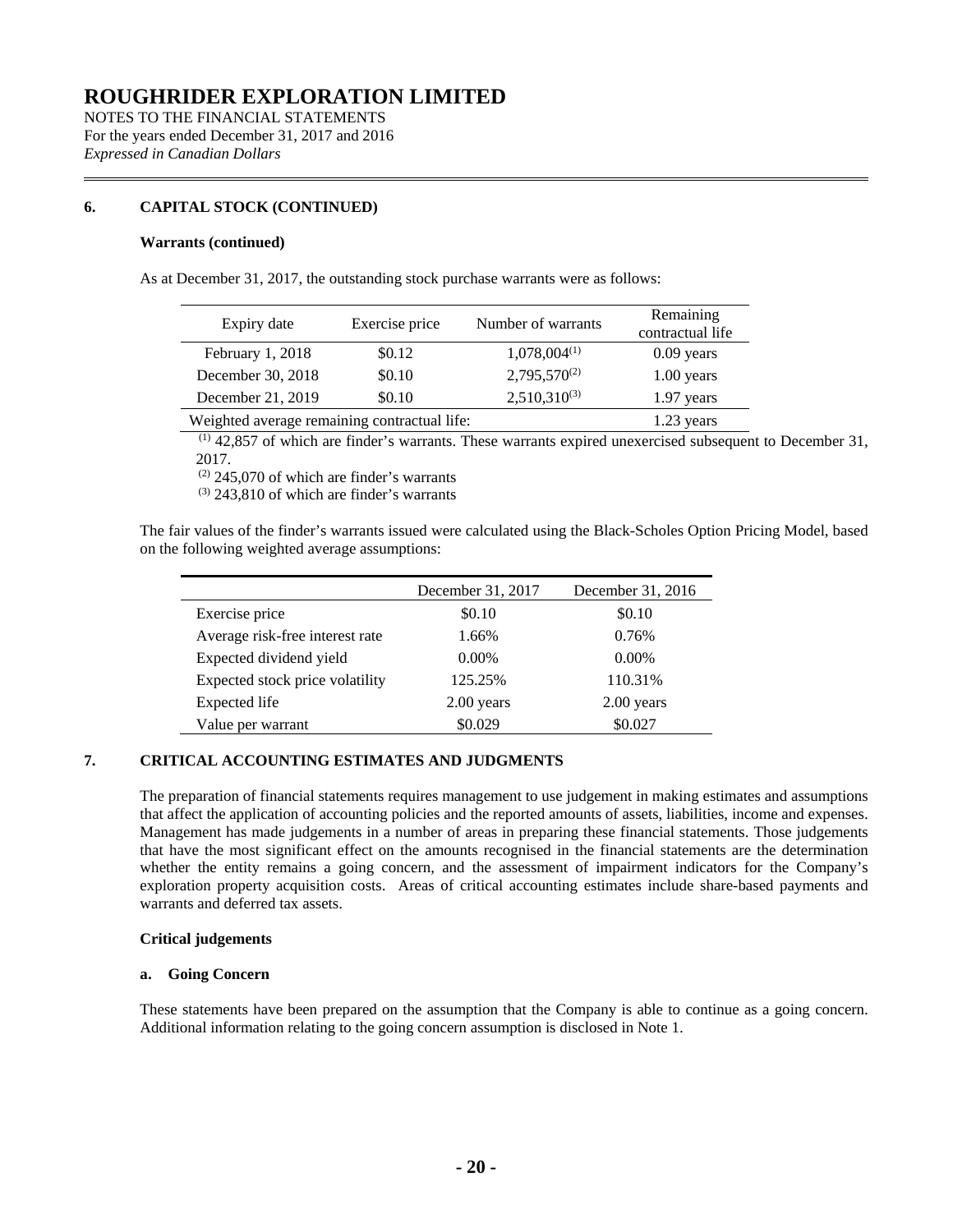NOTES TO THE FINANCIAL STATEMENTS For the years ended December 31, 2017 and 2016 *Expressed in Canadian Dollars*

### **6. CAPITAL STOCK (CONTINUED)**

### **Warrants (continued)**

As at December 31, 2017, the outstanding stock purchase warrants were as follows:

|                                              | Exercise price | Number of warrants | Remaining    |  |
|----------------------------------------------|----------------|--------------------|--------------|--|
| Expiry date                                  |                | contractual life   |              |  |
| February 1, 2018                             | \$0.12         | $1,078,004^{(1)}$  | $0.09$ years |  |
| December 30, 2018                            | \$0.10         | $2,795,570^{(2)}$  | $1.00$ years |  |
| December 21, 2019                            | \$0.10         | $2,510,310^{(3)}$  | $1.97$ years |  |
| Weighted average remaining contractual life: |                |                    | 1.23 years   |  |

 $(1)$  42,857 of which are finder's warrants. These warrants expired unexercised subsequent to December 31, 2017.

 $(2)$  245,070 of which are finder's warrants

 $(3)$  243,810 of which are finder's warrants

The fair values of the finder's warrants issued were calculated using the Black-Scholes Option Pricing Model, based on the following weighted average assumptions:

|                                 | December 31, 2017 | December 31, 2016 |
|---------------------------------|-------------------|-------------------|
| Exercise price                  | \$0.10            | \$0.10            |
| Average risk-free interest rate | 1.66%             | 0.76%             |
| Expected dividend yield         | $0.00\%$          | $0.00\%$          |
| Expected stock price volatility | 125.25%           | 110.31%           |
| <b>Expected</b> life            | $2.00$ years      | $2.00$ years      |
| Value per warrant               | \$0.029           | \$0.027           |

### **7. CRITICAL ACCOUNTING ESTIMATES AND JUDGMENTS**

The preparation of financial statements requires management to use judgement in making estimates and assumptions that affect the application of accounting policies and the reported amounts of assets, liabilities, income and expenses. Management has made judgements in a number of areas in preparing these financial statements. Those judgements that have the most significant effect on the amounts recognised in the financial statements are the determination whether the entity remains a going concern, and the assessment of impairment indicators for the Company's exploration property acquisition costs. Areas of critical accounting estimates include share-based payments and warrants and deferred tax assets.

### **Critical judgements**

#### **a. Going Concern**

These statements have been prepared on the assumption that the Company is able to continue as a going concern. Additional information relating to the going concern assumption is disclosed in Note 1.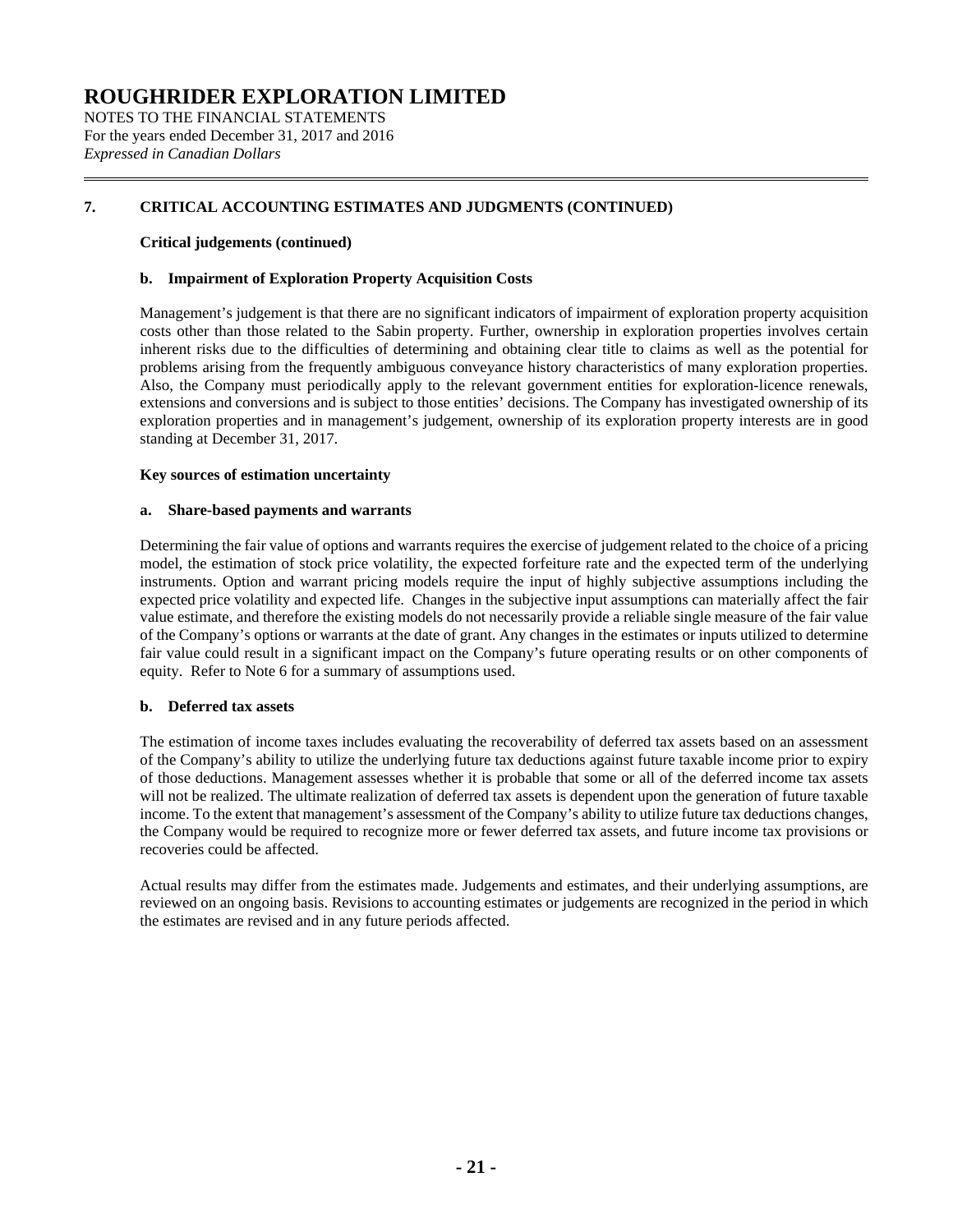NOTES TO THE FINANCIAL STATEMENTS For the years ended December 31, 2017 and 2016 *Expressed in Canadian Dollars*

### **7. CRITICAL ACCOUNTING ESTIMATES AND JUDGMENTS (CONTINUED)**

### **Critical judgements (continued)**

### **b. Impairment of Exploration Property Acquisition Costs**

Management's judgement is that there are no significant indicators of impairment of exploration property acquisition costs other than those related to the Sabin property. Further, ownership in exploration properties involves certain inherent risks due to the difficulties of determining and obtaining clear title to claims as well as the potential for problems arising from the frequently ambiguous conveyance history characteristics of many exploration properties. Also, the Company must periodically apply to the relevant government entities for exploration-licence renewals, extensions and conversions and is subject to those entities' decisions. The Company has investigated ownership of its exploration properties and in management's judgement, ownership of its exploration property interests are in good standing at December 31, 2017.

#### **Key sources of estimation uncertainty**

#### **a. Share-based payments and warrants**

Determining the fair value of options and warrants requires the exercise of judgement related to the choice of a pricing model, the estimation of stock price volatility, the expected forfeiture rate and the expected term of the underlying instruments. Option and warrant pricing models require the input of highly subjective assumptions including the expected price volatility and expected life. Changes in the subjective input assumptions can materially affect the fair value estimate, and therefore the existing models do not necessarily provide a reliable single measure of the fair value of the Company's options or warrants at the date of grant. Any changes in the estimates or inputs utilized to determine fair value could result in a significant impact on the Company's future operating results or on other components of equity. Refer to Note 6 for a summary of assumptions used.

### **b. Deferred tax assets**

The estimation of income taxes includes evaluating the recoverability of deferred tax assets based on an assessment of the Company's ability to utilize the underlying future tax deductions against future taxable income prior to expiry of those deductions. Management assesses whether it is probable that some or all of the deferred income tax assets will not be realized. The ultimate realization of deferred tax assets is dependent upon the generation of future taxable income. To the extent that management's assessment of the Company's ability to utilize future tax deductions changes, the Company would be required to recognize more or fewer deferred tax assets, and future income tax provisions or recoveries could be affected.

Actual results may differ from the estimates made. Judgements and estimates, and their underlying assumptions, are reviewed on an ongoing basis. Revisions to accounting estimates or judgements are recognized in the period in which the estimates are revised and in any future periods affected.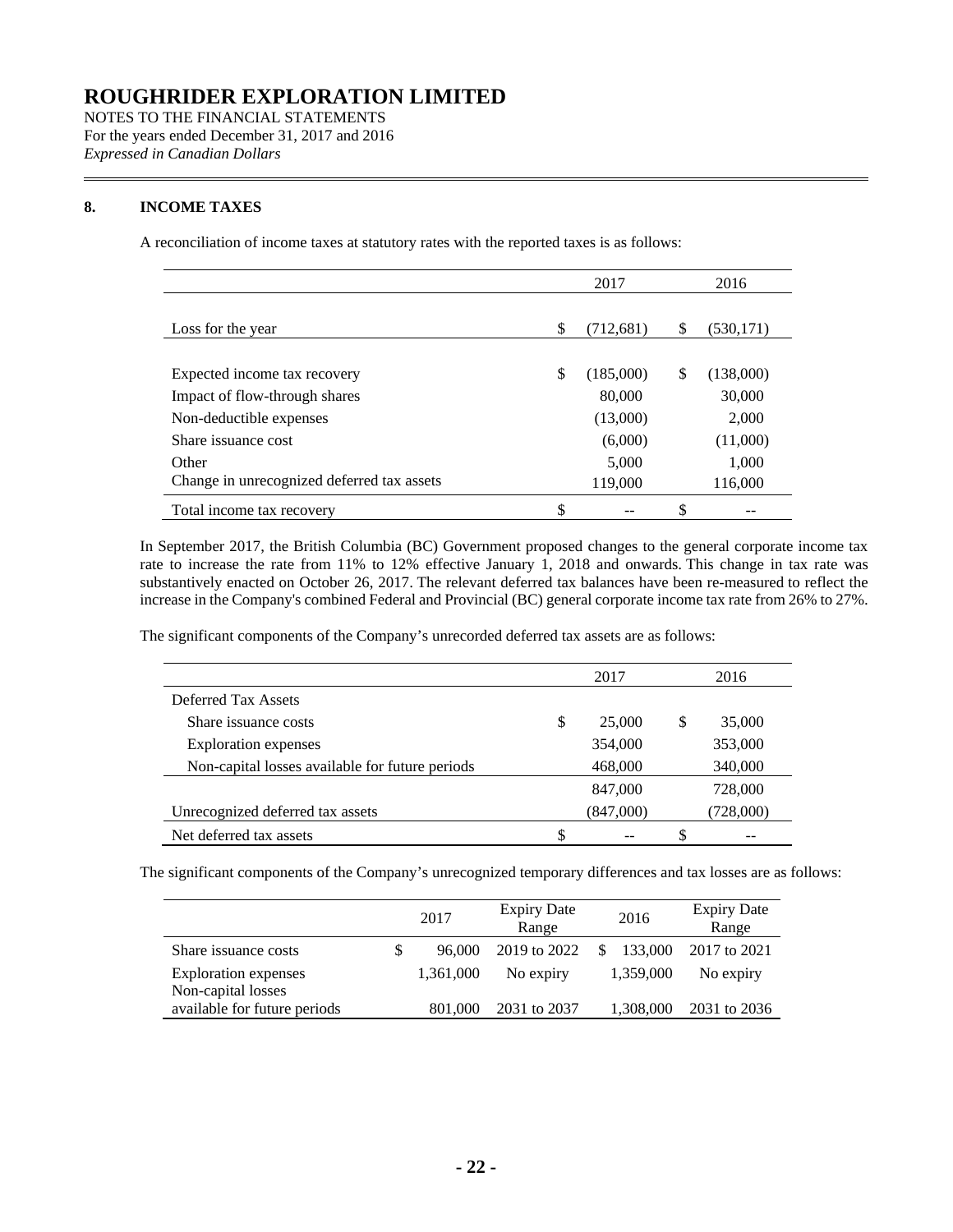NOTES TO THE FINANCIAL STATEMENTS For the years ended December 31, 2017 and 2016 *Expressed in Canadian Dollars*

### **8. INCOME TAXES**

A reconciliation of income taxes at statutory rates with the reported taxes is as follows:

|                                            | 2017            | 2016     |            |
|--------------------------------------------|-----------------|----------|------------|
|                                            |                 |          |            |
| Loss for the year                          | \$<br>(712,681) | <b>S</b> | (530, 171) |
|                                            |                 |          |            |
| Expected income tax recovery               | \$<br>(185,000) | S        | (138,000)  |
| Impact of flow-through shares              | 80,000          |          | 30,000     |
| Non-deductible expenses                    | (13,000)        |          | 2,000      |
| Share issuance cost                        | (6,000)         |          | (11,000)   |
| Other                                      | 5,000           |          | 1,000      |
| Change in unrecognized deferred tax assets | 119,000         |          | 116,000    |
| Total income tax recovery                  | \$              | \$       |            |

In September 2017, the British Columbia (BC) Government proposed changes to the general corporate income tax rate to increase the rate from 11% to 12% effective January 1, 2018 and onwards. This change in tax rate was substantively enacted on October 26, 2017. The relevant deferred tax balances have been re-measured to reflect the increase in the Company's combined Federal and Provincial (BC) general corporate income tax rate from 26% to 27%.

The significant components of the Company's unrecorded deferred tax assets are as follows:

|                                                 |   | 2017      |   | 2016      |
|-------------------------------------------------|---|-----------|---|-----------|
| Deferred Tax Assets                             |   |           |   |           |
| Share issuance costs                            | S | 25,000    | S | 35,000    |
| <b>Exploration</b> expenses                     |   | 354,000   |   | 353,000   |
| Non-capital losses available for future periods |   | 468,000   |   | 340,000   |
|                                                 |   | 847,000   |   | 728,000   |
| Unrecognized deferred tax assets                |   | (847,000) |   | (728,000) |
| Net deferred tax assets                         | S |           |   |           |

The significant components of the Company's unrecognized temporary differences and tax losses are as follows:

|                              | 2017         | <b>Expiry Date</b><br>Range |               | 2016      | <b>Expiry Date</b><br>Range |
|------------------------------|--------------|-----------------------------|---------------|-----------|-----------------------------|
| Share issuance costs         | \$<br>96,000 | 2019 to 2022                | <sup>\$</sup> | 133,000   | 2017 to 2021                |
| <b>Exploration</b> expenses  | 1,361,000    | No expiry                   |               | 1,359,000 | No expiry                   |
| Non-capital losses           |              |                             |               |           |                             |
| available for future periods | 801,000      | 2031 to 2037                |               | 1,308,000 | 2031 to 2036                |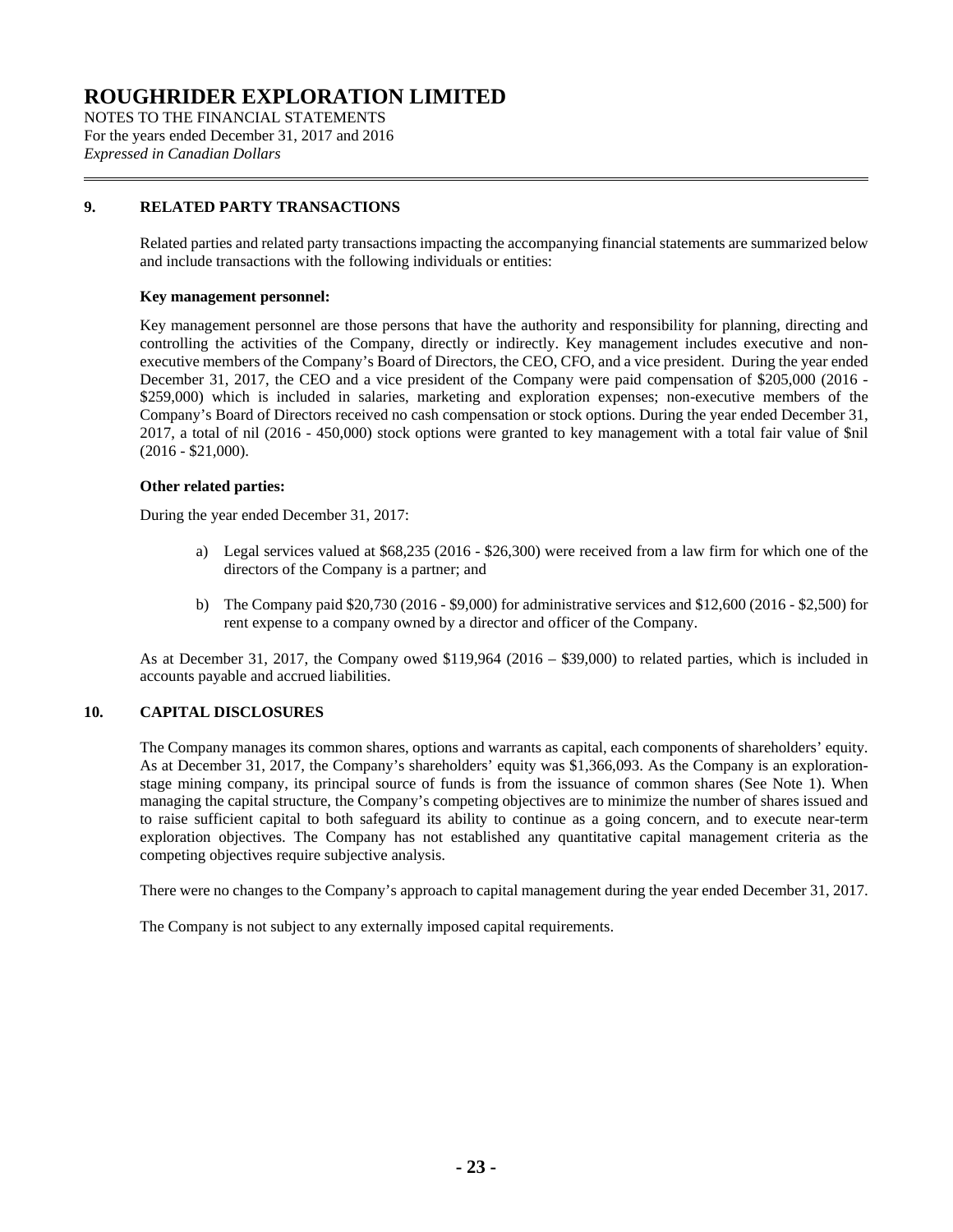NOTES TO THE FINANCIAL STATEMENTS For the years ended December 31, 2017 and 2016 *Expressed in Canadian Dollars*

### **9. RELATED PARTY TRANSACTIONS**

Related parties and related party transactions impacting the accompanying financial statements are summarized below and include transactions with the following individuals or entities:

### **Key management personnel:**

Key management personnel are those persons that have the authority and responsibility for planning, directing and controlling the activities of the Company, directly or indirectly. Key management includes executive and nonexecutive members of the Company's Board of Directors, the CEO, CFO, and a vice president. During the year ended December 31, 2017, the CEO and a vice president of the Company were paid compensation of \$205,000 (2016 - \$259,000) which is included in salaries, marketing and exploration expenses; non-executive members of the Company's Board of Directors received no cash compensation or stock options. During the year ended December 31, 2017, a total of nil (2016 - 450,000) stock options were granted to key management with a total fair value of \$nil (2016 - \$21,000).

### **Other related parties:**

During the year ended December 31, 2017:

- a) Legal services valued at \$68,235 (2016 \$26,300) were received from a law firm for which one of the directors of the Company is a partner; and
- b) The Company paid \$20,730 (2016 \$9,000) for administrative services and \$12,600 (2016 \$2,500) for rent expense to a company owned by a director and officer of the Company.

As at December 31, 2017, the Company owed \$119,964 (2016 – \$39,000) to related parties, which is included in accounts payable and accrued liabilities.

### **10. CAPITAL DISCLOSURES**

The Company manages its common shares, options and warrants as capital, each components of shareholders' equity. As at December 31, 2017, the Company's shareholders' equity was \$1,366,093. As the Company is an explorationstage mining company, its principal source of funds is from the issuance of common shares (See Note 1). When managing the capital structure, the Company's competing objectives are to minimize the number of shares issued and to raise sufficient capital to both safeguard its ability to continue as a going concern, and to execute near-term exploration objectives. The Company has not established any quantitative capital management criteria as the competing objectives require subjective analysis.

There were no changes to the Company's approach to capital management during the year ended December 31, 2017.

The Company is not subject to any externally imposed capital requirements.